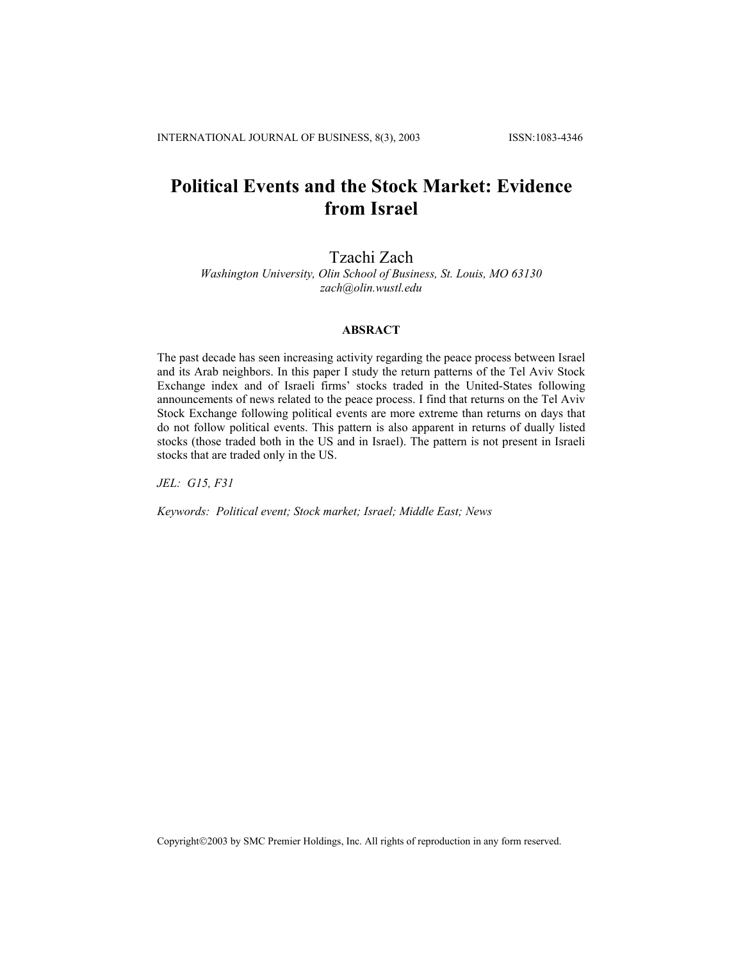# **Political Events and the Stock Market: Evidence from Israel**

Tzachi Zach

*Washington University, Olin School of Business, St. Louis, MO 63130 zach@olin.wustl.edu*

## **ABSRACT**

The past decade has seen increasing activity regarding the peace process between Israel and its Arab neighbors. In this paper I study the return patterns of the Tel Aviv Stock Exchange index and of Israeli firms' stocks traded in the United-States following announcements of news related to the peace process. I find that returns on the Tel Aviv Stock Exchange following political events are more extreme than returns on days that do not follow political events. This pattern is also apparent in returns of dually listed stocks (those traded both in the US and in Israel). The pattern is not present in Israeli stocks that are traded only in the US.

*JEL: G15, F31* 

*Keywords: Political event; Stock market; Israel; Middle East; News* 

Copyright©2003 by SMC Premier Holdings, Inc. All rights of reproduction in any form reserved.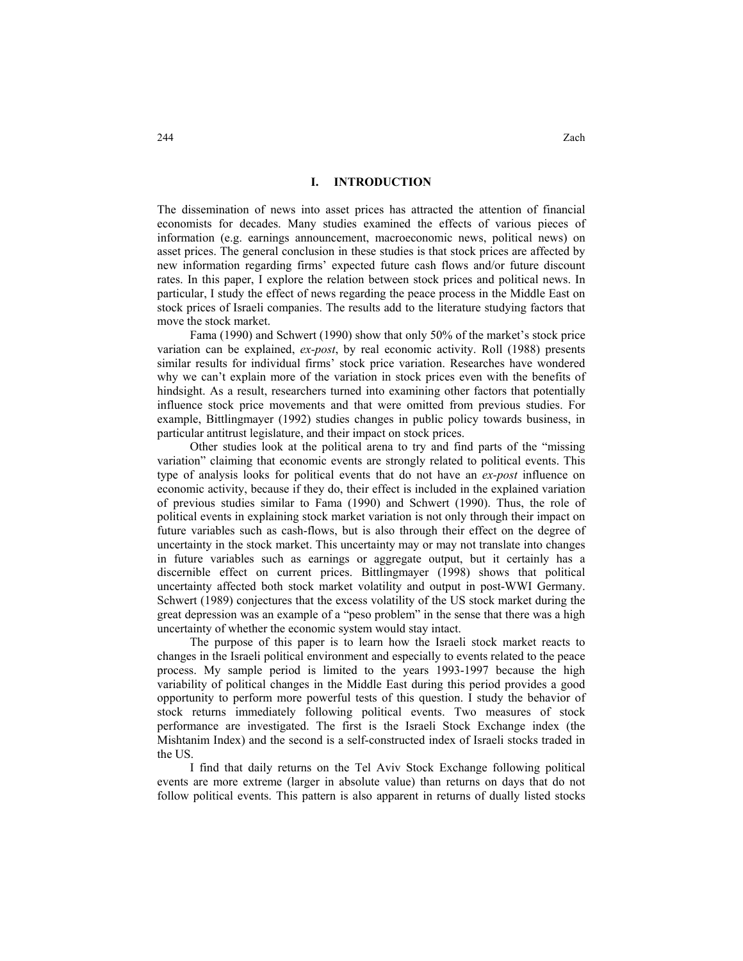### **I. INTRODUCTION**

The dissemination of news into asset prices has attracted the attention of financial economists for decades. Many studies examined the effects of various pieces of information (e.g. earnings announcement, macroeconomic news, political news) on asset prices. The general conclusion in these studies is that stock prices are affected by new information regarding firms' expected future cash flows and/or future discount rates. In this paper, I explore the relation between stock prices and political news. In particular, I study the effect of news regarding the peace process in the Middle East on stock prices of Israeli companies. The results add to the literature studying factors that move the stock market.

Fama (1990) and Schwert (1990) show that only 50% of the market's stock price variation can be explained, *ex-post*, by real economic activity. Roll (1988) presents similar results for individual firms' stock price variation. Researches have wondered why we can't explain more of the variation in stock prices even with the benefits of hindsight. As a result, researchers turned into examining other factors that potentially influence stock price movements and that were omitted from previous studies. For example, Bittlingmayer (1992) studies changes in public policy towards business, in particular antitrust legislature, and their impact on stock prices.

Other studies look at the political arena to try and find parts of the "missing variation" claiming that economic events are strongly related to political events. This type of analysis looks for political events that do not have an *ex-post* influence on economic activity, because if they do, their effect is included in the explained variation of previous studies similar to Fama (1990) and Schwert (1990). Thus, the role of political events in explaining stock market variation is not only through their impact on future variables such as cash-flows, but is also through their effect on the degree of uncertainty in the stock market. This uncertainty may or may not translate into changes in future variables such as earnings or aggregate output, but it certainly has a discernible effect on current prices. Bittlingmayer (1998) shows that political uncertainty affected both stock market volatility and output in post-WWI Germany. Schwert (1989) conjectures that the excess volatility of the US stock market during the great depression was an example of a "peso problem" in the sense that there was a high uncertainty of whether the economic system would stay intact.

The purpose of this paper is to learn how the Israeli stock market reacts to changes in the Israeli political environment and especially to events related to the peace process. My sample period is limited to the years 1993-1997 because the high variability of political changes in the Middle East during this period provides a good opportunity to perform more powerful tests of this question. I study the behavior of stock returns immediately following political events. Two measures of stock performance are investigated. The first is the Israeli Stock Exchange index (the Mishtanim Index) and the second is a self-constructed index of Israeli stocks traded in the US.

I find that daily returns on the Tel Aviv Stock Exchange following political events are more extreme (larger in absolute value) than returns on days that do not follow political events. This pattern is also apparent in returns of dually listed stocks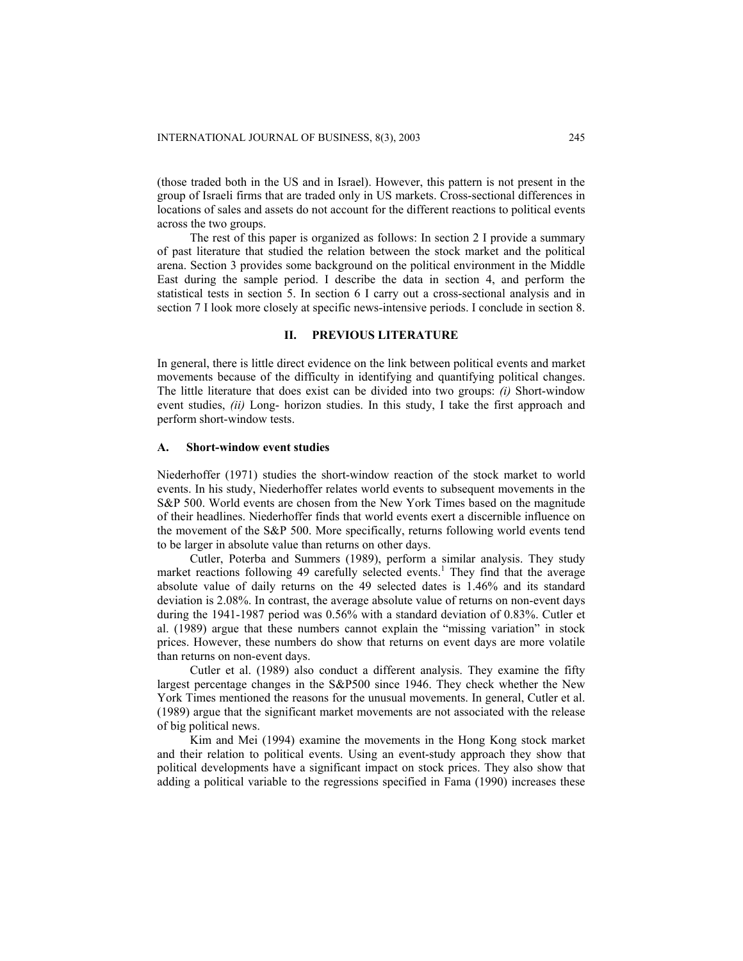(those traded both in the US and in Israel). However, this pattern is not present in the group of Israeli firms that are traded only in US markets. Cross-sectional differences in locations of sales and assets do not account for the different reactions to political events across the two groups.

The rest of this paper is organized as follows: In section 2 I provide a summary of past literature that studied the relation between the stock market and the political arena. Section 3 provides some background on the political environment in the Middle East during the sample period. I describe the data in section 4, and perform the statistical tests in section 5. In section 6 I carry out a cross-sectional analysis and in section 7 I look more closely at specific news-intensive periods. I conclude in section 8.

## **II. PREVIOUS LITERATURE**

In general, there is little direct evidence on the link between political events and market movements because of the difficulty in identifying and quantifying political changes. The little literature that does exist can be divided into two groups: *(i)* Short-window event studies, *(ii)* Long- horizon studies. In this study, I take the first approach and perform short-window tests.

#### **A. Short-window event studies**

Niederhoffer (1971) studies the short-window reaction of the stock market to world events. In his study, Niederhoffer relates world events to subsequent movements in the S&P 500. World events are chosen from the New York Times based on the magnitude of their headlines. Niederhoffer finds that world events exert a discernible influence on the movement of the S&P 500. More specifically, returns following world events tend to be larger in absolute value than returns on other days.

Cutler, Poterba and Summers (1989), perform a similar analysis. They study market reactions following 49 carefully selected events.<sup>1</sup> They find that the average absolute value of daily returns on the 49 selected dates is 1.46% and its standard deviation is 2.08%. In contrast, the average absolute value of returns on non-event days during the 1941-1987 period was 0.56% with a standard deviation of 0.83%. Cutler et al. (1989) argue that these numbers cannot explain the "missing variation" in stock prices. However, these numbers do show that returns on event days are more volatile than returns on non-event days.

Cutler et al. (1989) also conduct a different analysis. They examine the fifty largest percentage changes in the S&P500 since 1946. They check whether the New York Times mentioned the reasons for the unusual movements. In general, Cutler et al. (1989) argue that the significant market movements are not associated with the release of big political news.

Kim and Mei (1994) examine the movements in the Hong Kong stock market and their relation to political events. Using an event-study approach they show that political developments have a significant impact on stock prices. They also show that adding a political variable to the regressions specified in Fama (1990) increases these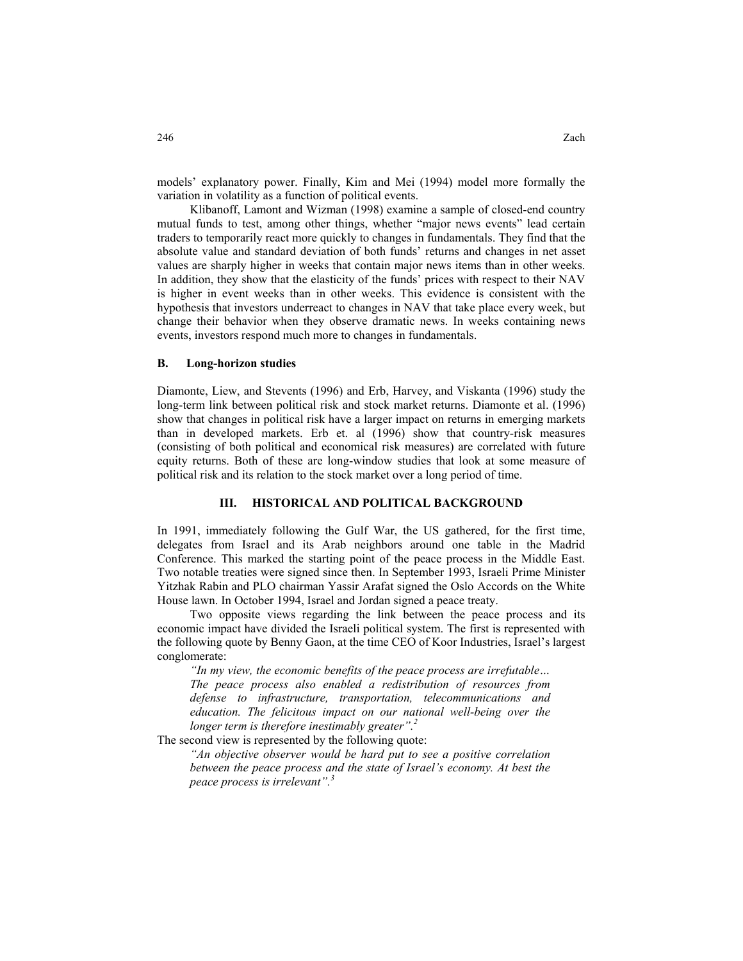models' explanatory power. Finally, Kim and Mei (1994) model more formally the variation in volatility as a function of political events.

Klibanoff, Lamont and Wizman (1998) examine a sample of closed-end country mutual funds to test, among other things, whether "major news events" lead certain traders to temporarily react more quickly to changes in fundamentals. They find that the absolute value and standard deviation of both funds' returns and changes in net asset values are sharply higher in weeks that contain major news items than in other weeks. In addition, they show that the elasticity of the funds' prices with respect to their NAV is higher in event weeks than in other weeks. This evidence is consistent with the hypothesis that investors underreact to changes in NAV that take place every week, but change their behavior when they observe dramatic news. In weeks containing news events, investors respond much more to changes in fundamentals.

#### **B. Long-horizon studies**

Diamonte, Liew, and Stevents (1996) and Erb, Harvey, and Viskanta (1996) study the long-term link between political risk and stock market returns. Diamonte et al. (1996) show that changes in political risk have a larger impact on returns in emerging markets than in developed markets. Erb et. al (1996) show that country-risk measures (consisting of both political and economical risk measures) are correlated with future equity returns. Both of these are long-window studies that look at some measure of political risk and its relation to the stock market over a long period of time.

#### **III. HISTORICAL AND POLITICAL BACKGROUND**

In 1991, immediately following the Gulf War, the US gathered, for the first time, delegates from Israel and its Arab neighbors around one table in the Madrid Conference. This marked the starting point of the peace process in the Middle East. Two notable treaties were signed since then. In September 1993, Israeli Prime Minister Yitzhak Rabin and PLO chairman Yassir Arafat signed the Oslo Accords on the White House lawn. In October 1994, Israel and Jordan signed a peace treaty.

Two opposite views regarding the link between the peace process and its economic impact have divided the Israeli political system. The first is represented with the following quote by Benny Gaon, at the time CEO of Koor Industries, Israel's largest conglomerate:

*"In my view, the economic benefits of the peace process are irrefutable… The peace process also enabled a redistribution of resources from defense to infrastructure, transportation, telecommunications and education. The felicitous impact on our national well-being over the longer term is therefore inestimably greater".<sup>2</sup>*

The second view is represented by the following quote:

*"An objective observer would be hard put to see a positive correlation between the peace process and the state of Israel's economy. At best the peace process is irrelevant".3*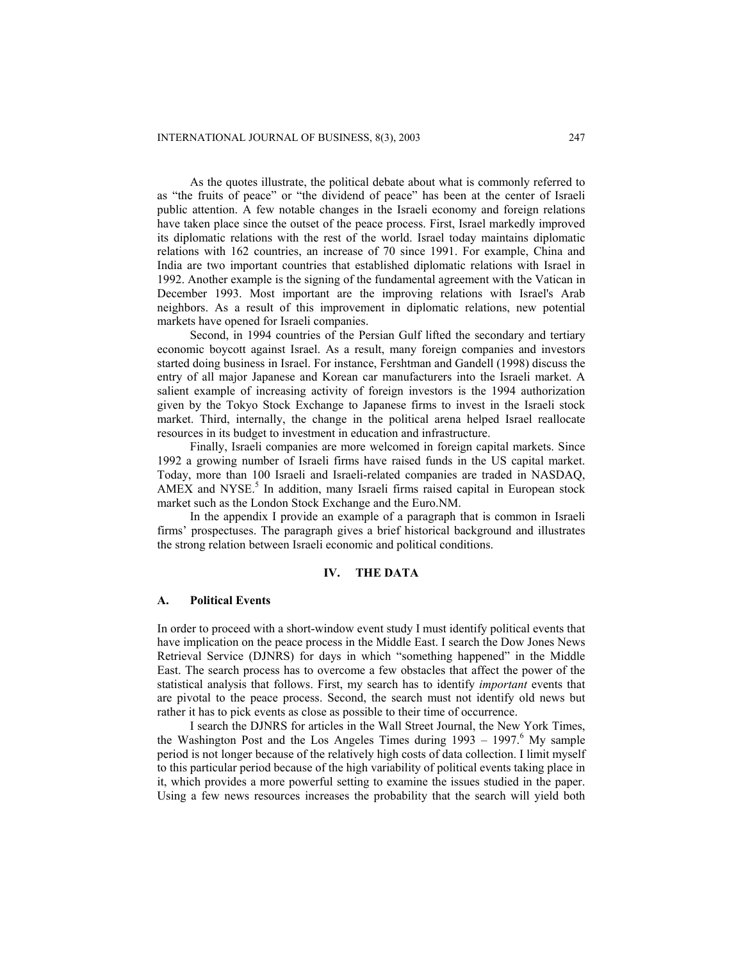As the quotes illustrate, the political debate about what is commonly referred to as "the fruits of peace" or "the dividend of peace" has been at the center of Israeli public attention. A few notable changes in the Israeli economy and foreign relations have taken place since the outset of the peace process. First, Israel markedly improved its diplomatic relations with the rest of the world. Israel today maintains diplomatic relations with 162 countries, an increase of 70 since 1991. For example, China and India are two important countries that established diplomatic relations with Israel in 1992. Another example is the signing of the fundamental agreement with the Vatican in December 1993. Most important are the improving relations with Israel's Arab neighbors. As a result of this improvement in diplomatic relations, new potential markets have opened for Israeli companies.

Second, in 1994 countries of the Persian Gulf lifted the secondary and tertiary economic boycott against Israel. As a result, many foreign companies and investors started doing business in Israel. For instance, Fershtman and Gandell (1998) discuss the entry of all major Japanese and Korean car manufacturers into the Israeli market. A salient example of increasing activity of foreign investors is the 1994 authorization given by the Tokyo Stock Exchange to Japanese firms to invest in the Israeli stock market. Third, internally, the change in the political arena helped Israel reallocate resources in its budget to investment in education and infrastructure.

Finally, Israeli companies are more welcomed in foreign capital markets. Since 1992 a growing number of Israeli firms have raised funds in the US capital market. Today, more than 100 Israeli and Israeli-related companies are traded in NASDAQ, AMEX and NYSE.<sup>5</sup> In addition, many Israeli firms raised capital in European stock market such as the London Stock Exchange and the Euro.NM.

In the appendix I provide an example of a paragraph that is common in Israeli firms' prospectuses. The paragraph gives a brief historical background and illustrates the strong relation between Israeli economic and political conditions.

#### **IV. THE DATA**

### **A. Political Events**

In order to proceed with a short-window event study I must identify political events that have implication on the peace process in the Middle East. I search the Dow Jones News Retrieval Service (DJNRS) for days in which "something happened" in the Middle East. The search process has to overcome a few obstacles that affect the power of the statistical analysis that follows. First, my search has to identify *important* events that are pivotal to the peace process. Second, the search must not identify old news but rather it has to pick events as close as possible to their time of occurrence.

I search the DJNRS for articles in the Wall Street Journal, the New York Times, the Washington Post and the Los Angeles Times during  $1993 - 1997$ .<sup>6</sup> My sample period is not longer because of the relatively high costs of data collection. I limit myself to this particular period because of the high variability of political events taking place in it, which provides a more powerful setting to examine the issues studied in the paper. Using a few news resources increases the probability that the search will yield both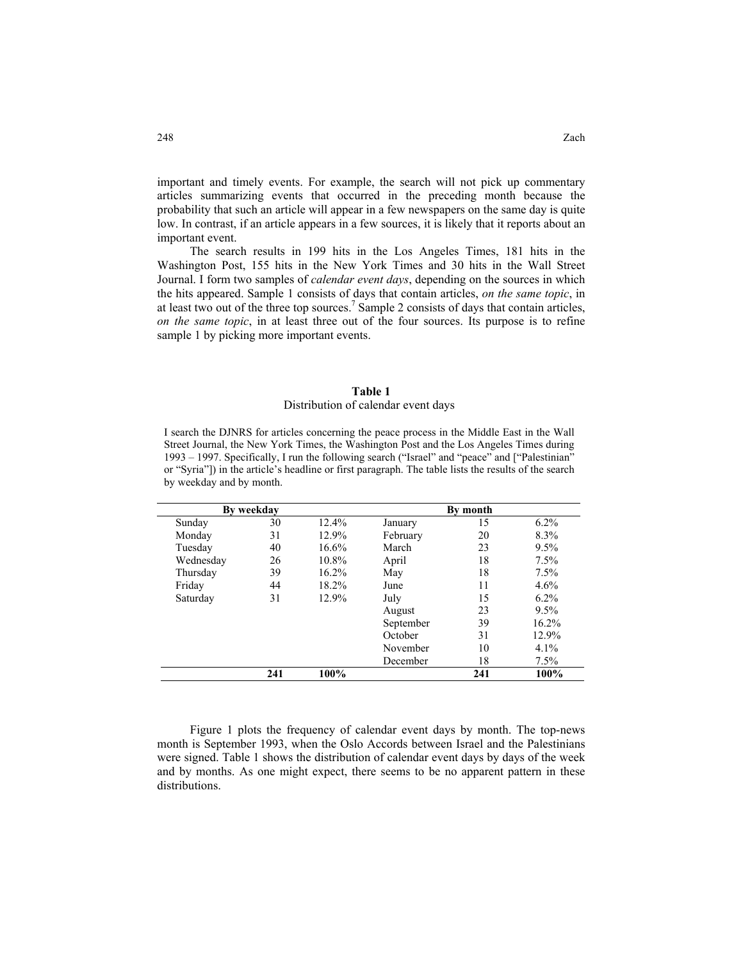important and timely events. For example, the search will not pick up commentary articles summarizing events that occurred in the preceding month because the probability that such an article will appear in a few newspapers on the same day is quite low. In contrast, if an article appears in a few sources, it is likely that it reports about an important event.

The search results in 199 hits in the Los Angeles Times, 181 hits in the Washington Post, 155 hits in the New York Times and 30 hits in the Wall Street Journal. I form two samples of *calendar event days*, depending on the sources in which the hits appeared. Sample 1 consists of days that contain articles, *on the same topic*, in at least two out of the three top sources.<sup>7</sup> Sample 2 consists of days that contain articles, *on the same topic*, in at least three out of the four sources. Its purpose is to refine sample 1 by picking more important events.

#### **Table 1**

#### Distribution of calendar event days

I search the DJNRS for articles concerning the peace process in the Middle East in the Wall Street Journal, the New York Times, the Washington Post and the Los Angeles Times during 1993 – 1997. Specifically, I run the following search ("Israel" and "peace" and ["Palestinian" or "Syria"]) in the article's headline or first paragraph. The table lists the results of the search by weekday and by month.

| By weekday |     |          | By month  |     |         |  |
|------------|-----|----------|-----------|-----|---------|--|
| Sunday     | 30  | $12.4\%$ | January   | 15  | $6.2\%$ |  |
| Monday     | 31  | 12.9%    | February  | 20  | 8.3%    |  |
| Tuesday    | 40  | 16.6%    | March     | 23  | 9.5%    |  |
| Wednesday  | 26  | $10.8\%$ | April     | 18  | 7.5%    |  |
| Thursday   | 39  | $16.2\%$ | May       | 18  | 7.5%    |  |
| Friday     | 44  | $18.2\%$ | June      | 11  | 4.6%    |  |
| Saturday   | 31  | 12.9%    | July      | 15  | $6.2\%$ |  |
|            |     |          | August    | 23  | 9.5%    |  |
|            |     |          | September | 39  | 16.2%   |  |
|            |     |          | October   | 31  | 12.9%   |  |
|            |     |          | November  | 10  | 4.1%    |  |
|            |     |          | December  | 18  | 7.5%    |  |
|            | 241 | 100%     |           | 241 | 100%    |  |

Figure 1 plots the frequency of calendar event days by month. The top-news month is September 1993, when the Oslo Accords between Israel and the Palestinians were signed. Table 1 shows the distribution of calendar event days by days of the week and by months. As one might expect, there seems to be no apparent pattern in these distributions.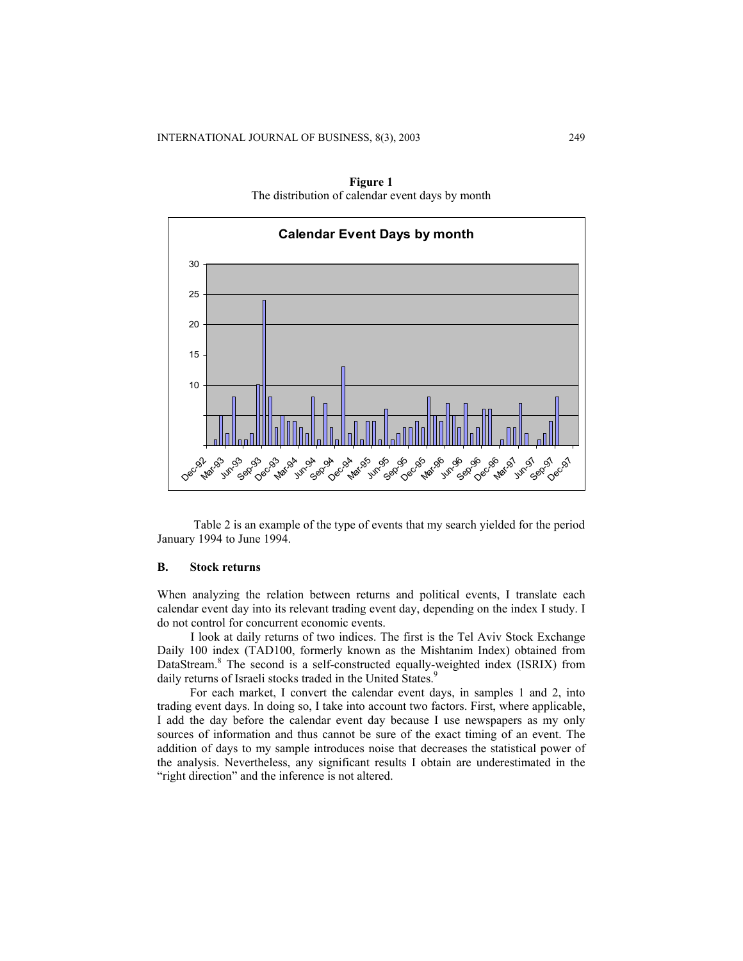

**Figure 1**  The distribution of calendar event days by month

Table 2 is an example of the type of events that my search yielded for the period January 1994 to June 1994.

## **B. Stock returns**

When analyzing the relation between returns and political events, I translate each calendar event day into its relevant trading event day, depending on the index I study. I do not control for concurrent economic events.

I look at daily returns of two indices. The first is the Tel Aviv Stock Exchange Daily 100 index (TAD100, formerly known as the Mishtanim Index) obtained from DataStream. <sup>8</sup> The second is a self-constructed equally-weighted index (ISRIX) from daily returns of Israeli stocks traded in the United States.<sup>9</sup>

For each market, I convert the calendar event days, in samples 1 and 2, into trading event days. In doing so, I take into account two factors. First, where applicable, I add the day before the calendar event day because I use newspapers as my only sources of information and thus cannot be sure of the exact timing of an event. The addition of days to my sample introduces noise that decreases the statistical power of the analysis. Nevertheless, any significant results I obtain are underestimated in the "right direction" and the inference is not altered.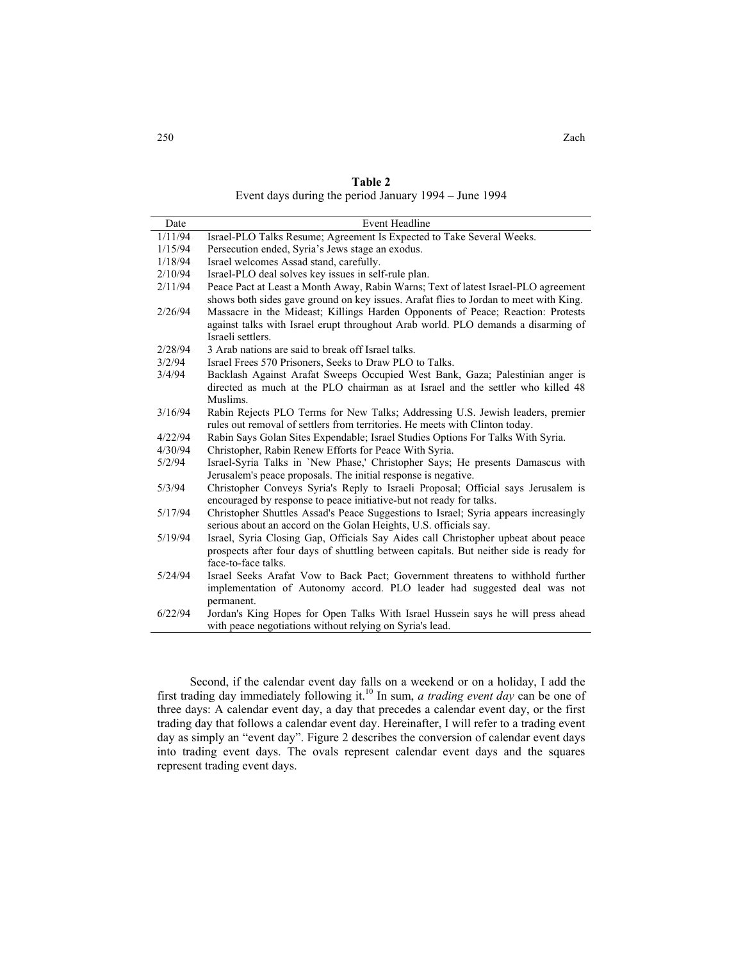**Table 2**

Event days during the period January 1994 – June 1994

| Date    | <b>Event Headline</b>                                                                                                                                                                     |
|---------|-------------------------------------------------------------------------------------------------------------------------------------------------------------------------------------------|
| 1/11/94 | Israel-PLO Talks Resume; Agreement Is Expected to Take Several Weeks.                                                                                                                     |
| 1/15/94 | Persecution ended, Syria's Jews stage an exodus.                                                                                                                                          |
| 1/18/94 | Israel welcomes Assad stand, carefully.                                                                                                                                                   |
| 2/10/94 | Israel-PLO deal solves key issues in self-rule plan.                                                                                                                                      |
| 2/11/94 | Peace Pact at Least a Month Away, Rabin Warns; Text of latest Israel-PLO agreement<br>shows both sides gave ground on key issues. Arafat flies to Jordan to meet with King.               |
| 2/26/94 | Massacre in the Mideast; Killings Harden Opponents of Peace; Reaction: Protests<br>against talks with Israel erupt throughout Arab world. PLO demands a disarming of<br>Israeli settlers. |
| 2/28/94 | 3 Arab nations are said to break off Israel talks.                                                                                                                                        |
| 3/2/94  | Israel Frees 570 Prisoners, Seeks to Draw PLO to Talks.                                                                                                                                   |
| 3/4/94  | Backlash Against Arafat Sweeps Occupied West Bank, Gaza; Palestinian anger is<br>directed as much at the PLO chairman as at Israel and the settler who killed 48<br>Muslims.              |
| 3/16/94 | Rabin Rejects PLO Terms for New Talks; Addressing U.S. Jewish leaders, premier<br>rules out removal of settlers from territories. He meets with Clinton today.                            |
| 4/22/94 | Rabin Says Golan Sites Expendable; Israel Studies Options For Talks With Syria.                                                                                                           |
| 4/30/94 | Christopher, Rabin Renew Efforts for Peace With Syria.                                                                                                                                    |
| 5/2/94  | Israel-Syria Talks in 'New Phase,' Christopher Says; He presents Damascus with<br>Jerusalem's peace proposals. The initial response is negative.                                          |
| 5/3/94  | Christopher Conveys Syria's Reply to Israeli Proposal; Official says Jerusalem is<br>encouraged by response to peace initiative-but not ready for talks.                                  |
| 5/17/94 | Christopher Shuttles Assad's Peace Suggestions to Israel; Syria appears increasingly<br>serious about an accord on the Golan Heights, U.S. officials say.                                 |
| 5/19/94 | Israel, Syria Closing Gap, Officials Say Aides call Christopher upbeat about peace<br>prospects after four days of shuttling between capitals. But neither side is ready for              |
| 5/24/94 | face-to-face talks.<br>Israel Seeks Arafat Vow to Back Pact; Government threatens to withhold further<br>implementation of Autonomy accord. PLO leader had suggested deal was not         |
| 6/22/94 | permanent.<br>Jordan's King Hopes for Open Talks With Israel Hussein says he will press ahead<br>with peace negotiations without relying on Syria's lead.                                 |

Second, if the calendar event day falls on a weekend or on a holiday, I add the first trading day immediately following it.10 In sum, *a trading event day* can be one of three days: A calendar event day, a day that precedes a calendar event day, or the first trading day that follows a calendar event day. Hereinafter, I will refer to a trading event day as simply an "event day". Figure 2 describes the conversion of calendar event days into trading event days. The ovals represent calendar event days and the squares represent trading event days.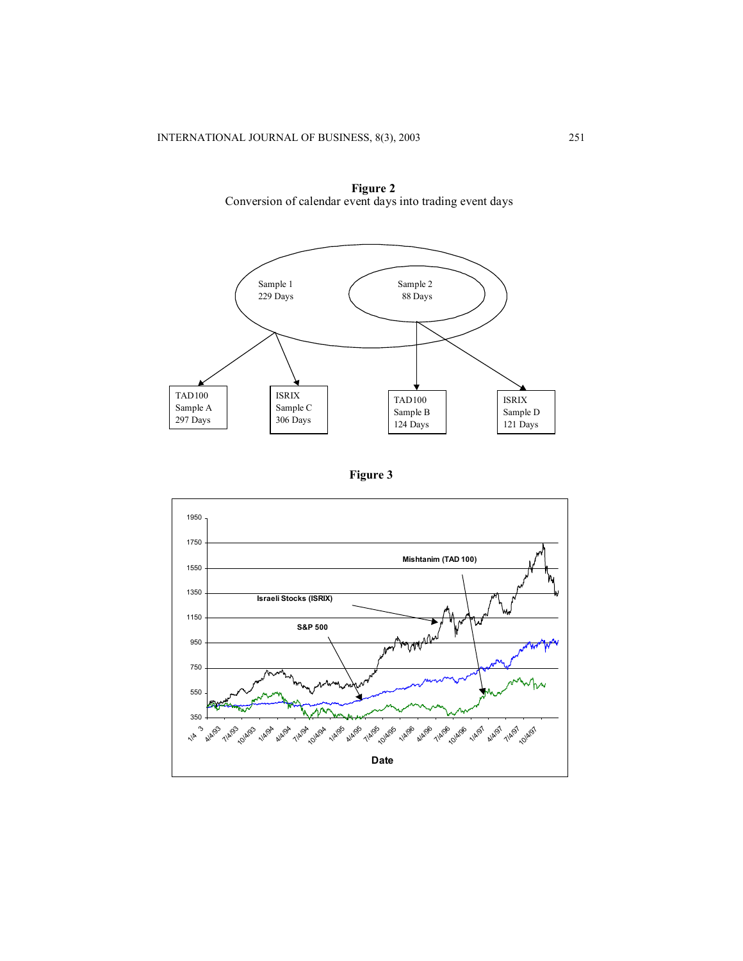

**Figure 2**  Conversion of calendar event days into trading event days



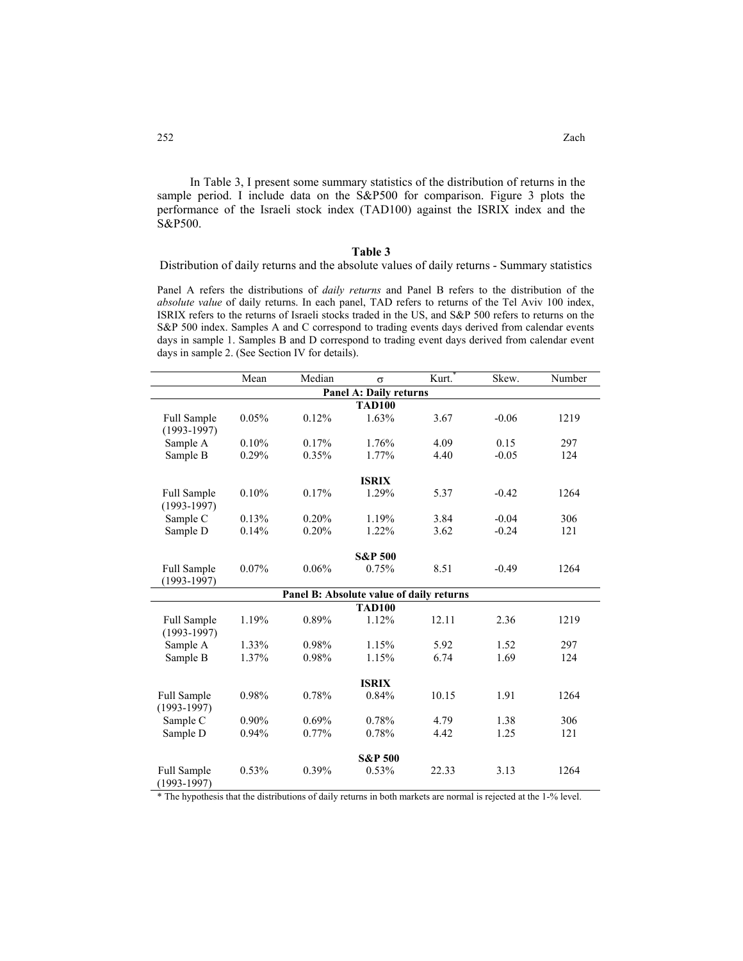In [Table 3,](#page-9-0) I present some summary statistics of the distribution of returns in the sample period. I include data on the S&P500 for comparison. Figure 3 plots the performance of the Israeli stock index (TAD100) against the ISRIX index and the S&P500.

#### <span id="page-9-0"></span>**Table 3**

Distribution of daily returns and the absolute values of daily returns - Summary statistics

Panel A refers the distributions of *daily returns* and Panel B refers to the distribution of the *absolute value* of daily returns. In each panel, TAD refers to returns of the Tel Aviv 100 index, ISRIX refers to the returns of Israeli stocks traded in the US, and S&P 500 refers to returns on the S&P 500 index. Samples A and C correspond to trading events days derived from calendar events days in sample 1. Samples B and D correspond to trading event days derived from calendar event days in sample 2. (See Section IV for details).

|                                       | Mean     | Median | $\sigma$                                 | Kurt. | Skew.   | Number |
|---------------------------------------|----------|--------|------------------------------------------|-------|---------|--------|
|                                       |          |        | <b>Panel A: Daily returns</b>            |       |         |        |
|                                       |          |        | <b>TAD100</b>                            |       |         |        |
| <b>Full Sample</b><br>$(1993 - 1997)$ | 0.05%    | 0.12%  | 1.63%                                    | 3.67  | $-0.06$ | 1219   |
| Sample A                              | 0.10%    | 0.17%  | 1.76%                                    | 4.09  | 0.15    | 297    |
| Sample B                              | 0.29%    | 0.35%  | 1.77%                                    | 4.40  | $-0.05$ | 124    |
|                                       |          |        | <b>ISRIX</b>                             |       |         |        |
| Full Sample                           | 0.10%    | 0.17%  | 1.29%                                    | 5.37  | $-0.42$ | 1264   |
| $(1993 - 1997)$                       |          |        |                                          |       |         |        |
| Sample C                              | 0.13%    | 0.20%  | 1.19%                                    | 3.84  | $-0.04$ | 306    |
| Sample D                              | 0.14%    | 0.20%  | 1.22%                                    | 3.62  | $-0.24$ | 121    |
|                                       |          |        | <b>S&amp;P 500</b>                       |       |         |        |
|                                       | 0.07%    | 0.06%  | 0.75%                                    | 8.51  | $-0.49$ | 1264   |
| <b>Full Sample</b><br>$(1993 - 1997)$ |          |        |                                          |       |         |        |
|                                       |          |        | Panel B: Absolute value of daily returns |       |         |        |
|                                       |          |        | <b>TAD100</b>                            |       |         |        |
| Full Sample                           | 1.19%    | 0.89%  | 1.12%                                    | 12.11 | 2.36    | 1219   |
| $(1993 - 1997)$                       |          |        |                                          |       |         |        |
| Sample A                              | 1.33%    | 0.98%  | 1.15%                                    | 5.92  | 1.52    | 297    |
| Sample B                              | 1.37%    | 0.98%  | 1.15%                                    | 6.74  | 1.69    | 124    |
|                                       |          |        | <b>ISRIX</b>                             |       |         |        |
| Full Sample                           | 0.98%    | 0.78%  | 0.84%                                    | 10.15 | 1.91    | 1264   |
| $(1993-1997)$                         |          |        |                                          |       |         |        |
| Sample C                              | $0.90\%$ | 0.69%  | 0.78%                                    | 4.79  | 1.38    | 306    |
| Sample D                              | 0.94%    | 0.77%  | 0.78%                                    | 4.42  | 1.25    | 121    |
|                                       |          |        |                                          |       |         |        |
|                                       |          |        | <b>S&amp;P 500</b>                       |       |         |        |
| Full Sample<br>$(1993-1997)$          | 0.53%    | 0.39%  | 0.53%                                    | 22.33 | 3.13    | 1264   |

\* The hypothesis that the distributions of daily returns in both markets are normal is rejected at the 1-% level.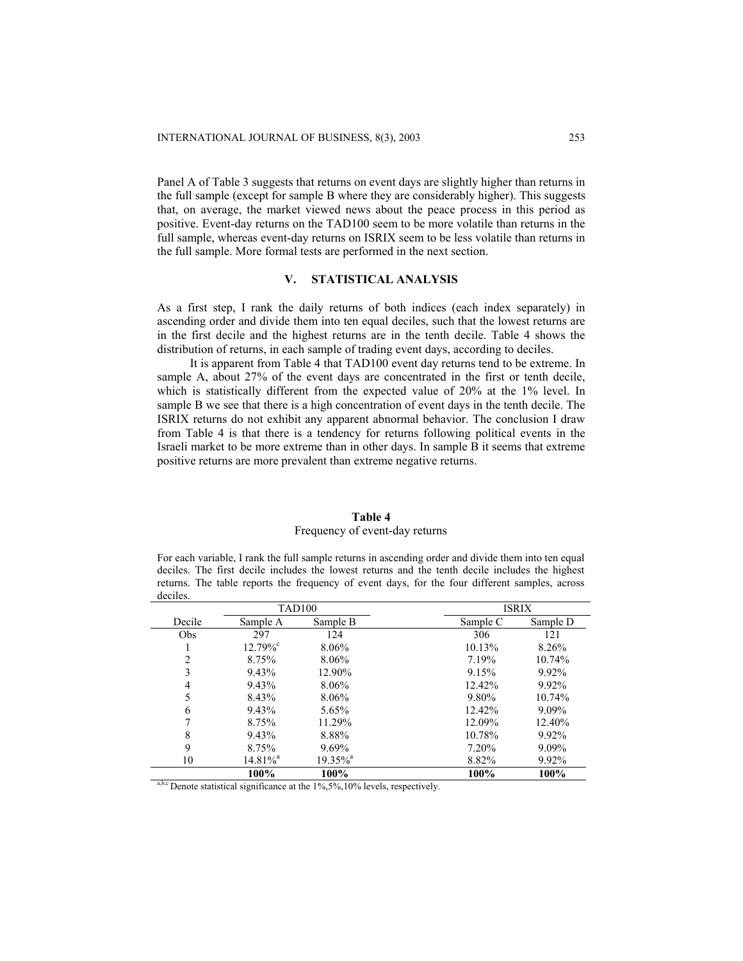Panel A of Table 3 suggests that returns on event days are slightly higher than returns in the full sample (except for sample B where they are considerably higher). This suggests that, on average, the market viewed news about the peace process in this period as positive. Event-day returns on the TAD100 seem to be more volatile than returns in the full sample, whereas event-day returns on ISRIX seem to be less volatile than returns in the full sample. More formal tests are performed in the next section.

## **V. STATISTICAL ANALYSIS**

As a first step, I rank the daily returns of both indices (each index separately) in ascending order and divide them into ten equal deciles, such that the lowest returns are in the first decile and the highest returns are in the tenth decile. Table 4 shows the distribution of returns, in each sample of trading event days, according to deciles.

It is apparent from Table 4 that TAD100 event day returns tend to be extreme. In sample A, about 27% of the event days are concentrated in the first or tenth decile, which is statistically different from the expected value of 20% at the 1% level. In sample B we see that there is a high concentration of event days in the tenth decile. The ISRIX returns do not exhibit any apparent abnormal behavior. The conclusion I draw from Table 4 is that there is a tendency for returns following political events in the Israeli market to be more extreme than in other days. In sample B it seems that extreme positive returns are more prevalent than extreme negative returns.

## **Table 4**

## Frequency of event-day returns

For each variable, I rank the full sample returns in ascending order and divide them into ten equal deciles. The first decile includes the lowest returns and the tenth decile includes the highest returns. The table reports the frequency of event days, for the four different samples, across deciles.

|                | <b>TAD100</b>          |                        |          | <b>ISRIX</b> |  |
|----------------|------------------------|------------------------|----------|--------------|--|
| Decile         | Sample A               | Sample B               | Sample C | Sample D     |  |
| Obs            | 297                    | 124                    | 306      | 121          |  |
|                | $12.79\%$ °            | 8.06%                  | 10.13%   | 8.26%        |  |
| $\overline{2}$ | 8.75%                  | 8.06%                  | 7.19%    | 10.74%       |  |
| 3              | 9.43%                  | 12.90%                 | 9.15%    | $9.92\%$     |  |
| 4              | 9.43%                  | 8.06%                  | 12.42%   | 9.92%        |  |
| 5              | 8.43%                  | 8.06%                  | 9.80%    | 10.74%       |  |
| 6              | 9.43%                  | 5.65%                  | 12.42%   | 9.09%        |  |
| 7              | 8.75%                  | 11.29%                 | 12.09%   | 12.40%       |  |
| 8              | 9.43%                  | 8.88%                  | 10.78%   | $9.92\%$     |  |
| 9              | 8.75%                  | 9.69%                  | 7.20%    | 9.09%        |  |
| 10             | $14.81\%$ <sup>a</sup> | $19.35\%$ <sup>a</sup> | 8.82%    | 9.92%        |  |
|                | 100%                   | 100%                   | 100%     | 100%         |  |

<sup>a,b,c</sup> Denote statistical significance at the  $1\%$ ,5%,10% levels, respectively.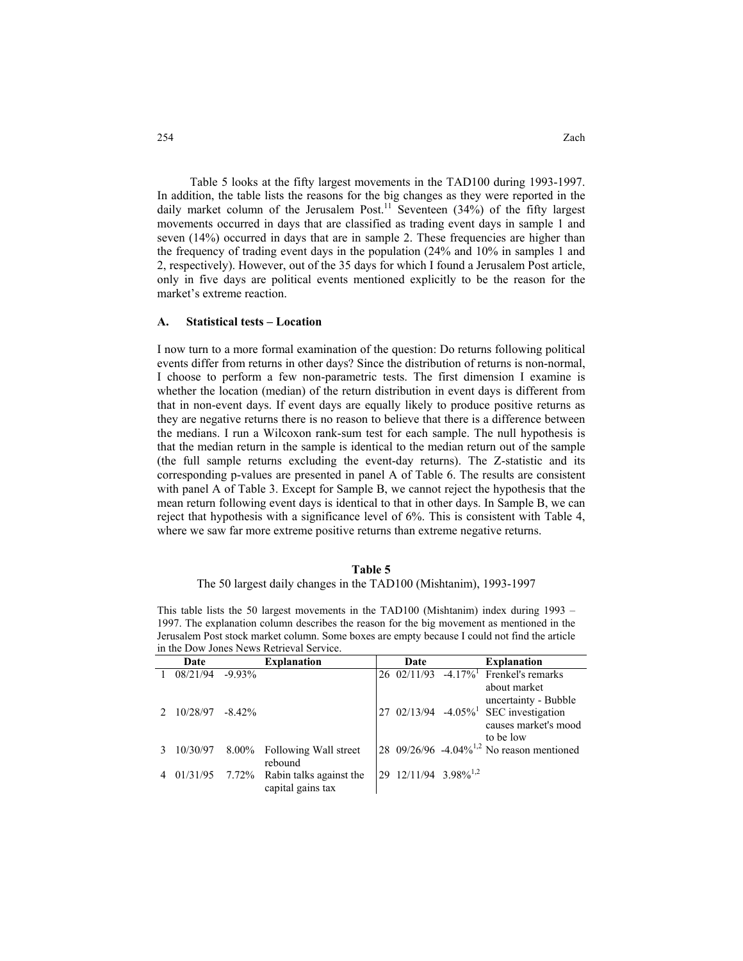Table 5 looks at the fifty largest movements in the TAD100 during 1993-1997. In addition, the table lists the reasons for the big changes as they were reported in the daily market column of the Jerusalem Post.<sup>11</sup> Seventeen (34%) of the fifty largest movements occurred in days that are classified as trading event days in sample 1 and seven (14%) occurred in days that are in sample 2. These frequencies are higher than the frequency of trading event days in the population (24% and 10% in samples 1 and 2, respectively). However, out of the 35 days for which I found a Jerusalem Post article, only in five days are political events mentioned explicitly to be the reason for the market's extreme reaction.

#### **A. Statistical tests – Location**

I now turn to a more formal examination of the question: Do returns following political events differ from returns in other days? Since the distribution of returns is non-normal, I choose to perform a few non-parametric tests. The first dimension I examine is whether the location (median) of the return distribution in event days is different from that in non-event days. If event days are equally likely to produce positive returns as they are negative returns there is no reason to believe that there is a difference between the medians. I run a Wilcoxon rank-sum test for each sample. The null hypothesis is that the median return in the sample is identical to the median return out of the sample (the full sample returns excluding the event-day returns). The Z-statistic and its corresponding p-values are presented in panel A of Table 6. The results are consistent with panel A of Table 3. Except for Sample B, we cannot reject the hypothesis that the mean return following event days is identical to that in other days. In Sample B, we can reject that hypothesis with a significance level of 6%. This is consistent with Table 4, where we saw far more extreme positive returns than extreme negative returns.

#### **Table 5**

#### The 50 largest daily changes in the TAD100 (Mishtanim), 1993-1997

This table lists the 50 largest movements in the TAD100 (Mishtanim) index during 1993 – 1997. The explanation column describes the reason for the big movement as mentioned in the Jerusalem Post stock market column. Some boxes are empty because I could not find the article in the Dow Jones News Retrieval Service.

| Date                | <b>Explanation</b>                                            | Date                             | <b>Explanation</b>                                                                     |
|---------------------|---------------------------------------------------------------|----------------------------------|----------------------------------------------------------------------------------------|
| $08/21/94$ -9.93%   |                                                               | 26 02/11/93                      | $-4.17\%$ <sup>1</sup> Frenkel's remarks<br>about market<br>uncertainty - Bubble       |
| $10/28/97 - 8.42\%$ |                                                               |                                  | 27 02/13/94 -4.05% <sup>1</sup> SEC investigation<br>causes market's mood<br>to be low |
|                     | $10/30/97$ 8.00% Following Wall street<br>rebound             |                                  | 28 09/26/96 -4.04% <sup>1,2</sup> No reason mentioned                                  |
|                     | $01/31/95$ 7.72% Rabin talks against the<br>capital gains tax | 29 12/11/94 3.98% <sup>1,2</sup> |                                                                                        |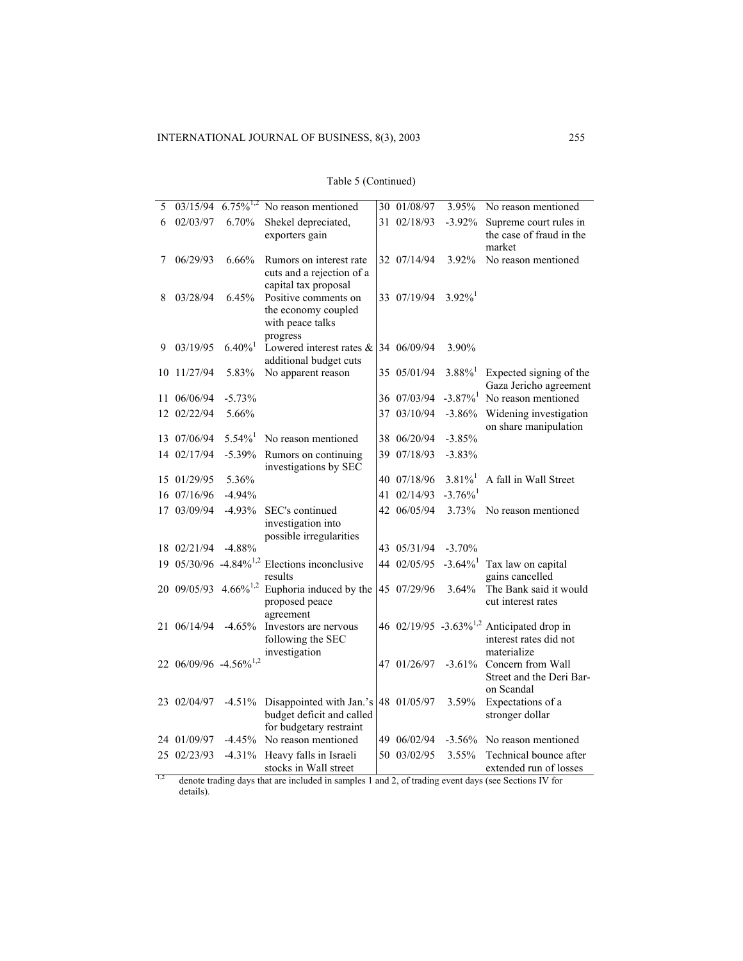| 5  | 03/15/94                          | $6.75\%^{1,2}$        | No reason mentioned                                                              |    | 30 01/08/97 | 3.95%                  | No reason mentioned                                                                            |
|----|-----------------------------------|-----------------------|----------------------------------------------------------------------------------|----|-------------|------------------------|------------------------------------------------------------------------------------------------|
| 6  | 02/03/97                          | 6.70%                 | Shekel depreciated,<br>exporters gain                                            |    | 31 02/18/93 | $-3.92\%$              | Supreme court rules in<br>the case of fraud in the<br>market                                   |
| 7  | 06/29/93                          | 6.66%                 | Rumors on interest rate<br>cuts and a rejection of a<br>capital tax proposal     |    | 32 07/14/94 | 3.92%                  | No reason mentioned                                                                            |
| 8  | 03/28/94                          | 6.45%                 | Positive comments on<br>the economy coupled<br>with peace talks<br>progress      |    | 33 07/19/94 | $3.92\%$ <sup>1</sup>  |                                                                                                |
| 9  | 03/19/95                          | $6.40\%$ <sup>1</sup> | Lowered interest rates &<br>additional budget cuts                               |    | 34 06/09/94 | 3.90%                  |                                                                                                |
| 10 | 11/27/94                          | 5.83%                 | No apparent reason                                                               |    | 35 05/01/94 | $3.88\%$ <sup>1</sup>  | Expected signing of the<br>Gaza Jericho agreement                                              |
|    | 11 06/06/94                       | $-5.73%$              |                                                                                  |    | 36 07/03/94 | $-3.87\%$ <sup>1</sup> | No reason mentioned                                                                            |
|    | 12 02/22/94                       | 5.66%                 |                                                                                  |    | 37 03/10/94 | $-3.86%$               | Widening investigation<br>on share manipulation                                                |
|    | 13 07/06/94                       | $5.54\%$ <sup>1</sup> | No reason mentioned                                                              |    | 38 06/20/94 | $-3.85%$               |                                                                                                |
|    | 14 02/17/94                       | $-5.39%$              | Rumors on continuing<br>investigations by SEC                                    | 39 | 07/18/93    | $-3.83%$               |                                                                                                |
|    | 15 01/29/95                       | 5.36%                 |                                                                                  |    | 40 07/18/96 | $3.81\%$ <sup>1</sup>  | A fall in Wall Street                                                                          |
|    | 16 07/16/96                       | $-4.94%$              |                                                                                  |    | 41 02/14/93 | $-3.76\%$ <sup>1</sup> |                                                                                                |
|    | 17 03/09/94                       | $-4.93%$              | SEC's continued<br>investigation into<br>possible irregularities                 |    | 42 06/05/94 | 3.73%                  | No reason mentioned                                                                            |
|    | 18 02/21/94                       | $-4.88%$              |                                                                                  |    | 43 05/31/94 | $-3.70%$               |                                                                                                |
|    |                                   |                       | 19 05/30/96 -4.84% <sup>1,2</sup> Elections inconclusive<br>results              |    | 44 02/05/95 | $-3.64\%$ <sup>1</sup> | Tax law on capital<br>gains cancelled                                                          |
|    | 20 09/05/93 4.66% <sup>1,2</sup>  |                       | Euphoria induced by the<br>proposed peace<br>agreement                           |    | 45 07/29/96 | 3.64%                  | The Bank said it would<br>cut interest rates                                                   |
|    | 21 06/14/94                       | $-4.65%$              | Investors are nervous<br>following the SEC<br>investigation                      |    |             |                        | 46 02/19/95 -3.63% <sup>1,2</sup> Anticipated drop in<br>interest rates did not<br>materialize |
|    | 22 06/09/96 -4.56% <sup>1,2</sup> |                       |                                                                                  |    | 47 01/26/97 | $-3.61%$               | Concern from Wall<br>Street and the Deri Bar-<br>on Scandal                                    |
|    | 23 02/04/97                       | $-4.51%$              | Disappointed with Jan.'s<br>budget deficit and called<br>for budgetary restraint |    | 48 01/05/97 | 3.59%                  | Expectations of a<br>stronger dollar                                                           |
|    | 24 01/09/97                       | $-4.45%$              | No reason mentioned                                                              | 49 | 06/02/94    | $-3.56%$               | No reason mentioned                                                                            |
|    | 25 02/23/93                       | $-4.31%$              | Heavy falls in Israeli<br>stocks in Wall street                                  |    | 50 03/02/95 | 3.55%                  | Technical bounce after<br>extended run of losses                                               |

|  | Table 5 (Continued) |
|--|---------------------|
|--|---------------------|

extended run of rotating days that are included in samples 1 and 2, of trading event days (see Sections IV for details).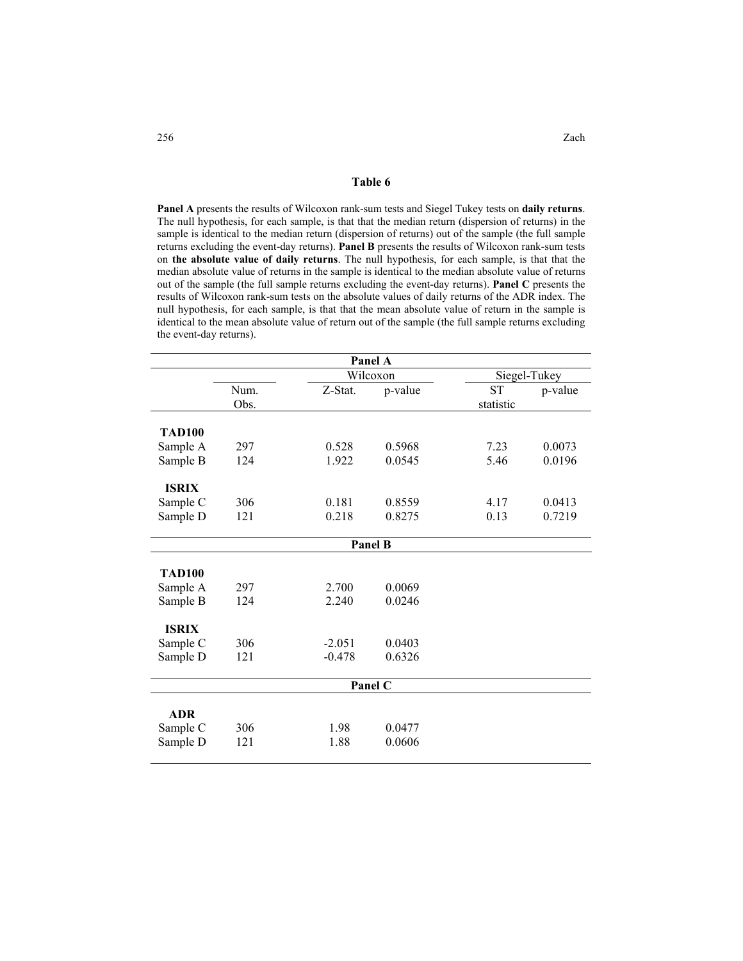**Table 6**

**Panel A** presents the results of Wilcoxon rank-sum tests and Siegel Tukey tests on **daily returns**. The null hypothesis, for each sample, is that that the median return (dispersion of returns) in the sample is identical to the median return (dispersion of returns) out of the sample (the full sample returns excluding the event-day returns). **Panel B** presents the results of Wilcoxon rank-sum tests on **the absolute value of daily returns**. The null hypothesis, for each sample, is that that the median absolute value of returns in the sample is identical to the median absolute value of returns out of the sample (the full sample returns excluding the event-day returns). **Panel C** presents the results of Wilcoxon rank-sum tests on the absolute values of daily returns of the ADR index. The null hypothesis, for each sample, is that that the mean absolute value of return in the sample is identical to the mean absolute value of return out of the sample (the full sample returns excluding the event-day returns).

| Panel A       |      |          |         |              |         |  |  |
|---------------|------|----------|---------|--------------|---------|--|--|
|               |      | Wilcoxon |         | Siegel-Tukey |         |  |  |
|               | Num. | Z-Stat.  | p-value | <b>ST</b>    | p-value |  |  |
|               | Obs. |          |         | statistic    |         |  |  |
|               |      |          |         |              |         |  |  |
| <b>TAD100</b> |      |          |         |              |         |  |  |
| Sample A      | 297  | 0.528    | 0.5968  | 7.23         | 0.0073  |  |  |
| Sample B      | 124  | 1.922    | 0.0545  | 5.46         | 0.0196  |  |  |
| <b>ISRIX</b>  |      |          |         |              |         |  |  |
| Sample C      | 306  | 0.181    | 0.8559  | 4.17         | 0.0413  |  |  |
| Sample D      | 121  | 0.218    | 0.8275  | 0.13         | 0.7219  |  |  |
|               |      |          |         |              |         |  |  |
|               |      |          | Panel B |              |         |  |  |
| <b>TAD100</b> |      |          |         |              |         |  |  |
| Sample A      | 297  | 2.700    | 0.0069  |              |         |  |  |
| Sample B      | 124  | 2.240    | 0.0246  |              |         |  |  |
| <b>ISRIX</b>  |      |          |         |              |         |  |  |
| Sample C      | 306  | $-2.051$ | 0.0403  |              |         |  |  |
| Sample D      | 121  | $-0.478$ | 0.6326  |              |         |  |  |
|               |      |          |         |              |         |  |  |
|               |      |          | Panel C |              |         |  |  |
|               |      |          |         |              |         |  |  |
| <b>ADR</b>    |      |          |         |              |         |  |  |
| Sample C      | 306  | 1.98     | 0.0477  |              |         |  |  |
| Sample D      | 121  | 1.88     | 0.0606  |              |         |  |  |
|               |      |          |         |              |         |  |  |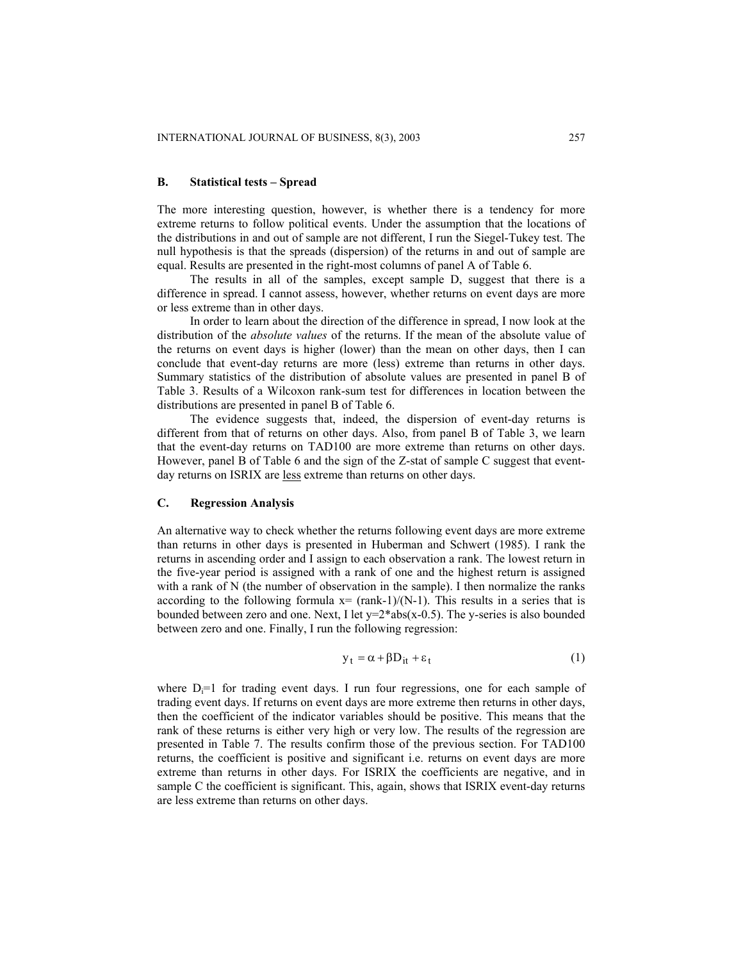#### **B. Statistical tests – Spread**

The more interesting question, however, is whether there is a tendency for more extreme returns to follow political events. Under the assumption that the locations of the distributions in and out of sample are not different, I run the Siegel-Tukey test. The null hypothesis is that the spreads (dispersion) of the returns in and out of sample are equal. Results are presented in the right-most columns of panel A of Table 6.

The results in all of the samples, except sample D, suggest that there is a difference in spread. I cannot assess, however, whether returns on event days are more or less extreme than in other days.

In order to learn about the direction of the difference in spread, I now look at the distribution of the *absolute values* of the returns. If the mean of the absolute value of the returns on event days is higher (lower) than the mean on other days, then I can conclude that event-day returns are more (less) extreme than returns in other days. Summary statistics of the distribution of absolute values are presented in panel B of Table 3. Results of a Wilcoxon rank-sum test for differences in location between the distributions are presented in panel B of Table 6.

The evidence suggests that, indeed, the dispersion of event-day returns is different from that of returns on other days. Also, from panel B of Table 3, we learn that the event-day returns on TAD100 are more extreme than returns on other days. However, panel B of Table 6 and the sign of the Z-stat of sample C suggest that eventday returns on ISRIX are less extreme than returns on other days.

#### **C. Regression Analysis**

An alternative way to check whether the returns following event days are more extreme than returns in other days is presented in Huberman and Schwert (1985). I rank the returns in ascending order and I assign to each observation a rank. The lowest return in the five-year period is assigned with a rank of one and the highest return is assigned with a rank of N (the number of observation in the sample). I then normalize the ranks according to the following formula  $x = (rank-1)/(N-1)$ . This results in a series that is bounded between zero and one. Next, I let  $y=2*abs(x-0.5)$ . The y-series is also bounded between zero and one. Finally, I run the following regression:

$$
y_t = \alpha + \beta D_{it} + \varepsilon_t \tag{1}
$$

where  $D_i=1$  for trading event days. I run four regressions, one for each sample of trading event days. If returns on event days are more extreme then returns in other days, then the coefficient of the indicator variables should be positive. This means that the rank of these returns is either very high or very low. The results of the regression are presented in [Table 7](#page-15-0). The results confirm those of the previous section. For TAD100 returns, the coefficient is positive and significant i.e. returns on event days are more extreme than returns in other days. For ISRIX the coefficients are negative, and in sample C the coefficient is significant. This, again, shows that ISRIX event-day returns are less extreme than returns on other days.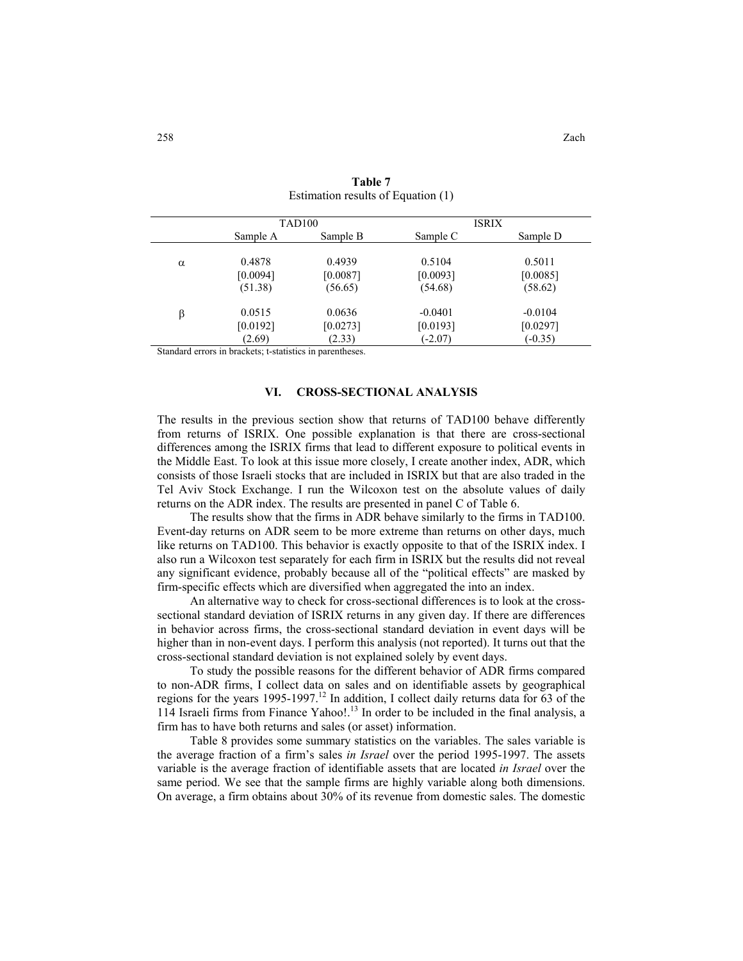|   |          | TAD <sub>100</sub> |           | <b>ISRIX</b> |
|---|----------|--------------------|-----------|--------------|
|   | Sample A | Sample B           | Sample C  | Sample D     |
| α | 0.4878   | 0.4939             | 0.5104    | 0.5011       |
|   | [0.0094] | [0.0087]           | [0.0093]  | [0.0085]     |
|   | (51.38)  | (56.65)            | (54.68)   | (58.62)      |
| β | 0.0515   | 0.0636             | $-0.0401$ | $-0.0104$    |
|   | [0.0192] | [0.0273]           | [0.0193]  | [0.0297]     |
|   | (2.69)   | (2.33)             | $(-2.07)$ | $(-0.35)$    |

<span id="page-15-0"></span>**Table 7** Estimation results of Equation (1)

Standard errors in brackets; t-statistics in parentheses.

#### **VI. CROSS-SECTIONAL ANALYSIS**

The results in the previous section show that returns of TAD100 behave differently from returns of ISRIX. One possible explanation is that there are cross-sectional differences among the ISRIX firms that lead to different exposure to political events in the Middle East. To look at this issue more closely, I create another index, ADR, which consists of those Israeli stocks that are included in ISRIX but that are also traded in the Tel Aviv Stock Exchange. I run the Wilcoxon test on the absolute values of daily returns on the ADR index. The results are presented in panel C of Table 6.

The results show that the firms in ADR behave similarly to the firms in TAD100. Event-day returns on ADR seem to be more extreme than returns on other days, much like returns on TAD100. This behavior is exactly opposite to that of the ISRIX index. I also run a Wilcoxon test separately for each firm in ISRIX but the results did not reveal any significant evidence, probably because all of the "political effects" are masked by firm-specific effects which are diversified when aggregated the into an index.

An alternative way to check for cross-sectional differences is to look at the crosssectional standard deviation of ISRIX returns in any given day. If there are differences in behavior across firms, the cross-sectional standard deviation in event days will be higher than in non-event days. I perform this analysis (not reported). It turns out that the cross-sectional standard deviation is not explained solely by event days.

To study the possible reasons for the different behavior of ADR firms compared to non-ADR firms, I collect data on sales and on identifiable assets by geographical regions for the years 1995-1997.<sup>12</sup> In addition, I collect daily returns data for 63 of the 114 Israeli firms from Finance Yahoo!.13 In order to be included in the final analysis, a firm has to have both returns and sales (or asset) information.

Table 8 provides some summary statistics on the variables. The sales variable is the average fraction of a firm's sales *in Israel* over the period 1995-1997. The assets variable is the average fraction of identifiable assets that are located *in Israel* over the same period. We see that the sample firms are highly variable along both dimensions. On average, a firm obtains about 30% of its revenue from domestic sales. The domestic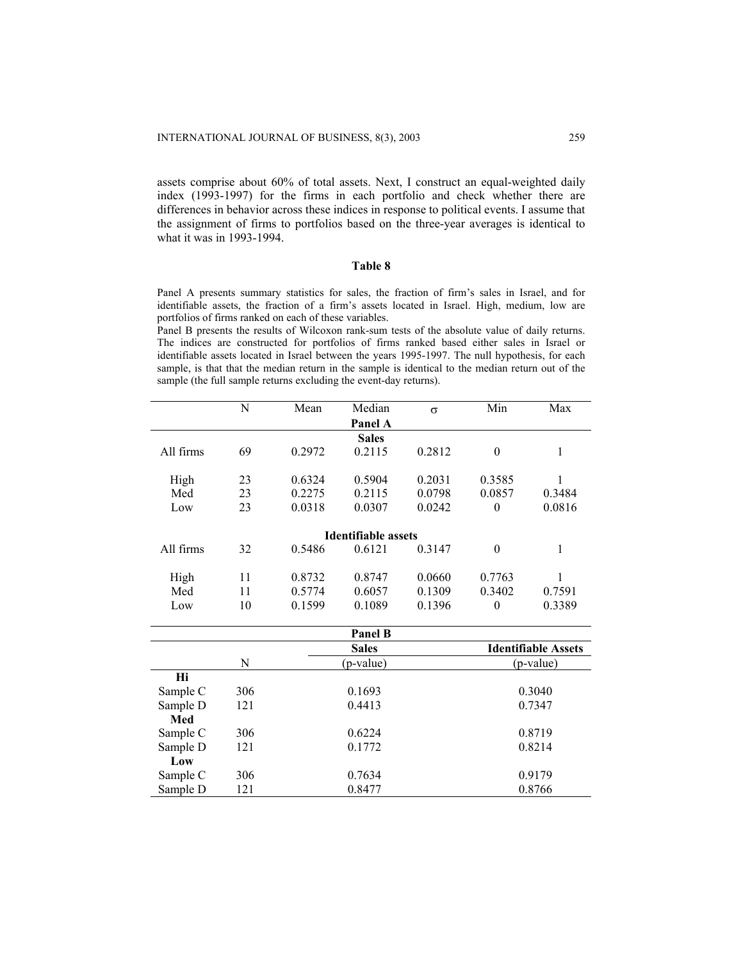assets comprise about 60% of total assets. Next, I construct an equal-weighted daily index (1993-1997) for the firms in each portfolio and check whether there are differences in behavior across these indices in response to political events. I assume that the assignment of firms to portfolios based on the three-year averages is identical to what it was in 1993-1994.

#### **Table 8**

Panel A presents summary statistics for sales, the fraction of firm's sales in Israel, and for identifiable assets, the fraction of a firm's assets located in Israel. High, medium, low are portfolios of firms ranked on each of these variables.

Panel B presents the results of Wilcoxon rank-sum tests of the absolute value of daily returns. The indices are constructed for portfolios of firms ranked based either sales in Israel or identifiable assets located in Israel between the years 1995-1997. The null hypothesis, for each sample, is that that the median return in the sample is identical to the median return out of the sample (the full sample returns excluding the event-day returns).

|           | N  | Mean   | Median                     | $\sigma$ | Min      | Max    |
|-----------|----|--------|----------------------------|----------|----------|--------|
|           |    |        | Panel A                    |          |          |        |
|           |    |        | <b>Sales</b>               |          |          |        |
| All firms | 69 | 0.2972 | 0.2115                     | 0.2812   | $\theta$ | 1      |
|           |    |        |                            |          |          |        |
| High      | 23 | 0.6324 | 0.5904                     | 0.2031   | 0.3585   | 1      |
| Med       | 23 | 0.2275 | 0.2115                     | 0.0798   | 0.0857   | 0.3484 |
| Low       | 23 | 0.0318 | 0.0307                     | 0.0242   | $\theta$ | 0.0816 |
|           |    |        | <b>Identifiable assets</b> |          |          |        |
| All firms | 32 | 0.5486 | 0.6121                     | 0.3147   | $\theta$ | 1      |
|           |    |        |                            |          |          |        |
| High      | 11 | 0.8732 | 0.8747                     | 0.0660   | 0.7763   |        |
| Med       | 11 | 0.5774 | 0.6057                     | 0.1309   | 0.3402   | 0.7591 |
| Low       | 10 | 0.1599 | 0.1089                     | 0.1396   | $\theta$ | 0.3389 |

|          |     | <b>Panel B</b> |                            |
|----------|-----|----------------|----------------------------|
|          |     | <b>Sales</b>   | <b>Identifiable Assets</b> |
|          | N   | (p-value)      | (p-value)                  |
| Hi       |     |                |                            |
| Sample C | 306 | 0.1693         | 0.3040                     |
| Sample D | 121 | 0.4413         | 0.7347                     |
| Med      |     |                |                            |
| Sample C | 306 | 0.6224         | 0.8719                     |
| Sample D | 121 | 0.1772         | 0.8214                     |
| Low      |     |                |                            |
| Sample C | 306 | 0.7634         | 0.9179                     |
| Sample D | 121 | 0.8477         | 0.8766                     |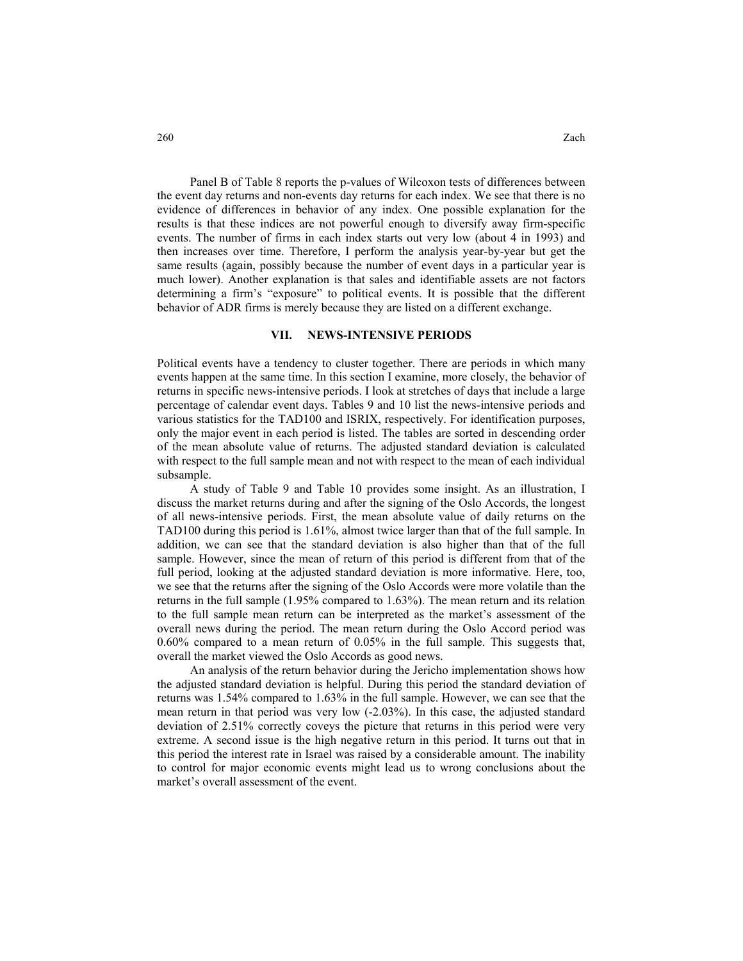Panel B of Table 8 reports the p-values of Wilcoxon tests of differences between the event day returns and non-events day returns for each index. We see that there is no evidence of differences in behavior of any index. One possible explanation for the results is that these indices are not powerful enough to diversify away firm-specific events. The number of firms in each index starts out very low (about 4 in 1993) and then increases over time. Therefore, I perform the analysis year-by-year but get the same results (again, possibly because the number of event days in a particular year is much lower). Another explanation is that sales and identifiable assets are not factors determining a firm's "exposure" to political events. It is possible that the different behavior of ADR firms is merely because they are listed on a different exchange.

#### **VII. NEWS-INTENSIVE PERIODS**

Political events have a tendency to cluster together. There are periods in which many events happen at the same time. In this section I examine, more closely, the behavior of returns in specific news-intensive periods. I look at stretches of days that include a large percentage of calendar event days. Tables 9 and 10 list the news-intensive periods and various statistics for the TAD100 and ISRIX, respectively. For identification purposes, only the major event in each period is listed. The tables are sorted in descending order of the mean absolute value of returns. The adjusted standard deviation is calculated with respect to the full sample mean and not with respect to the mean of each individual subsample.

A study of Table 9 and Table 10 provides some insight. As an illustration, I discuss the market returns during and after the signing of the Oslo Accords, the longest of all news-intensive periods. First, the mean absolute value of daily returns on the TAD100 during this period is 1.61%, almost twice larger than that of the full sample. In addition, we can see that the standard deviation is also higher than that of the full sample. However, since the mean of return of this period is different from that of the full period, looking at the adjusted standard deviation is more informative. Here, too, we see that the returns after the signing of the Oslo Accords were more volatile than the returns in the full sample (1.95% compared to 1.63%). The mean return and its relation to the full sample mean return can be interpreted as the market's assessment of the overall news during the period. The mean return during the Oslo Accord period was 0.60% compared to a mean return of 0.05% in the full sample. This suggests that, overall the market viewed the Oslo Accords as good news.

An analysis of the return behavior during the Jericho implementation shows how the adjusted standard deviation is helpful. During this period the standard deviation of returns was 1.54% compared to 1.63% in the full sample. However, we can see that the mean return in that period was very low (-2.03%). In this case, the adjusted standard deviation of 2.51% correctly coveys the picture that returns in this period were very extreme. A second issue is the high negative return in this period. It turns out that in this period the interest rate in Israel was raised by a considerable amount. The inability to control for major economic events might lead us to wrong conclusions about the market's overall assessment of the event.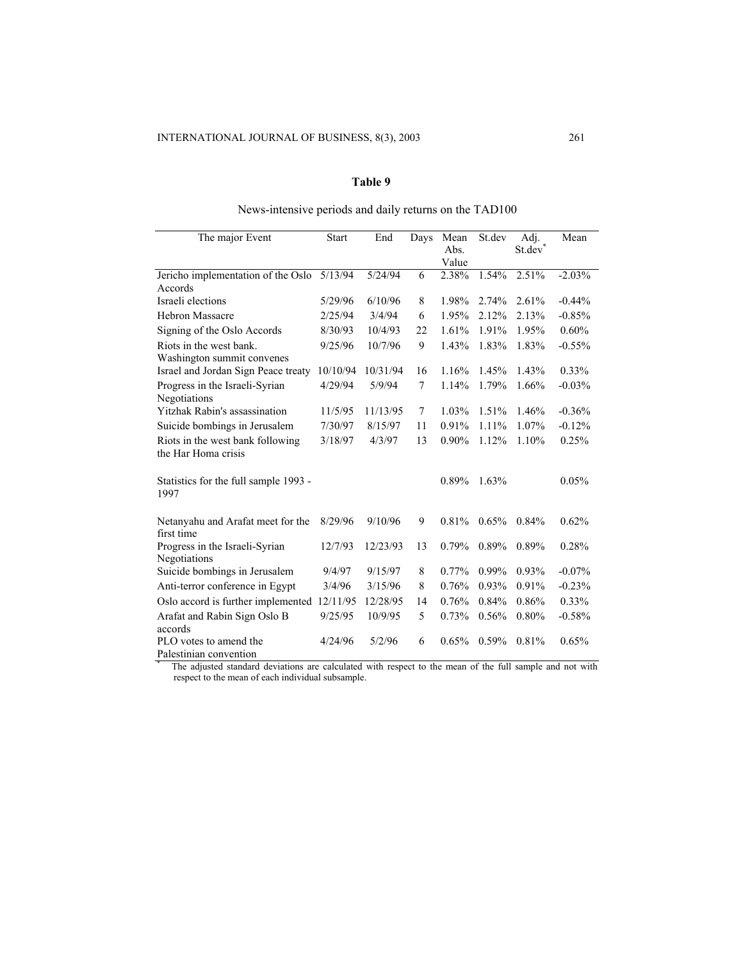## **Table 9**

## News-intensive periods and daily returns on the TAD100

| The major Event                                                                                                                                               | <b>Start</b> | End      | Days | Mean<br>Abs.<br>Value | St.dev   | Adj.<br>St.dev | Mean     |
|---------------------------------------------------------------------------------------------------------------------------------------------------------------|--------------|----------|------|-----------------------|----------|----------------|----------|
| Jericho implementation of the Oslo                                                                                                                            | 5/13/94      | 5/24/94  | 6    | 2.38%                 | 1.54%    | 2.51%          | $-2.03%$ |
| Accords                                                                                                                                                       |              |          |      |                       |          |                |          |
| Israeli elections                                                                                                                                             | 5/29/96      | 6/10/96  | 8    | 1.98%                 | 2.74%    | 2.61%          | $-0.44%$ |
| <b>Hebron Massacre</b>                                                                                                                                        | 2/25/94      | 3/4/94   | 6    | 1.95%                 | 2.12%    | 2.13%          | $-0.85%$ |
| Signing of the Oslo Accords                                                                                                                                   | 8/30/93      | 10/4/93  | 22   | 1.61%                 | 1.91%    | 1.95%          | 0.60%    |
| Riots in the west bank.                                                                                                                                       | 9/25/96      | 10/7/96  | 9    | 1.43%                 | 1.83%    | 1.83%          | $-0.55%$ |
| Washington summit convenes                                                                                                                                    |              |          |      |                       |          |                |          |
| Israel and Jordan Sign Peace treaty                                                                                                                           | 10/10/94     | 10/31/94 | 16   | 1.16%                 | 1.45%    | 1.43%          | $0.33\%$ |
| Progress in the Israeli-Syrian<br>Negotiations                                                                                                                | 4/29/94      | 5/9/94   | 7    | 1.14%                 | 1.79%    | 1.66%          | $-0.03%$ |
| <b>Yitzhak Rabin's assassination</b>                                                                                                                          | 11/5/95      | 11/13/95 | 7    | 1.03%                 | 1.51%    | 1.46%          | $-0.36%$ |
| Suicide bombings in Jerusalem                                                                                                                                 | 7/30/97      | 8/15/97  | 11   | 0.91%                 | 1.11%    | 1.07%          | $-0.12%$ |
| Riots in the west bank following<br>the Har Homa crisis                                                                                                       | 3/18/97      | 4/3/97   | 13   | $0.90\%$              | 1.12%    | 1.10%          | 0.25%    |
| Statistics for the full sample 1993 -<br>1997                                                                                                                 |              |          |      | 0.89%                 | 1.63%    |                | 0.05%    |
| Netanyahu and Arafat meet for the<br>first time                                                                                                               | 8/29/96      | 9/10/96  | 9    | 0.81%                 | 0.65%    | 0.84%          | 0.62%    |
| Progress in the Israeli-Syrian<br>Negotiations                                                                                                                | 12/7/93      | 12/23/93 | 13   | 0.79%                 | 0.89%    | 0.89%          | 0.28%    |
| Suicide bombings in Jerusalem                                                                                                                                 | 9/4/97       | 9/15/97  | 8    | 0.77%                 | $0.99\%$ | 0.93%          | $-0.07%$ |
| Anti-terror conference in Egypt                                                                                                                               | 3/4/96       | 3/15/96  | 8    | 0.76%                 | 0.93%    | 0.91%          | $-0.23%$ |
| Oslo accord is further implemented                                                                                                                            | 12/11/95     | 12/28/95 | 14   | 0.76%                 | 0.84%    | 0.86%          | $0.33\%$ |
| Arafat and Rabin Sign Oslo B<br>accords                                                                                                                       | 9/25/95      | 10/9/95  | 5    | 0.73%                 | 0.56%    | 0.80%          | $-0.58%$ |
| PLO votes to amend the<br>Palestinian convention<br>The ediverted standard deviations are coloulated with respect to the mean of the full comple and not with | 4/24/96      | 5/2/96   | 6    | 0.65%                 | 0.59%    | 0.81%          | 0.65%    |

 The adjusted standard deviations are calculated with respect to the mean of the full sample and not with respect to the mean of each individual subsample.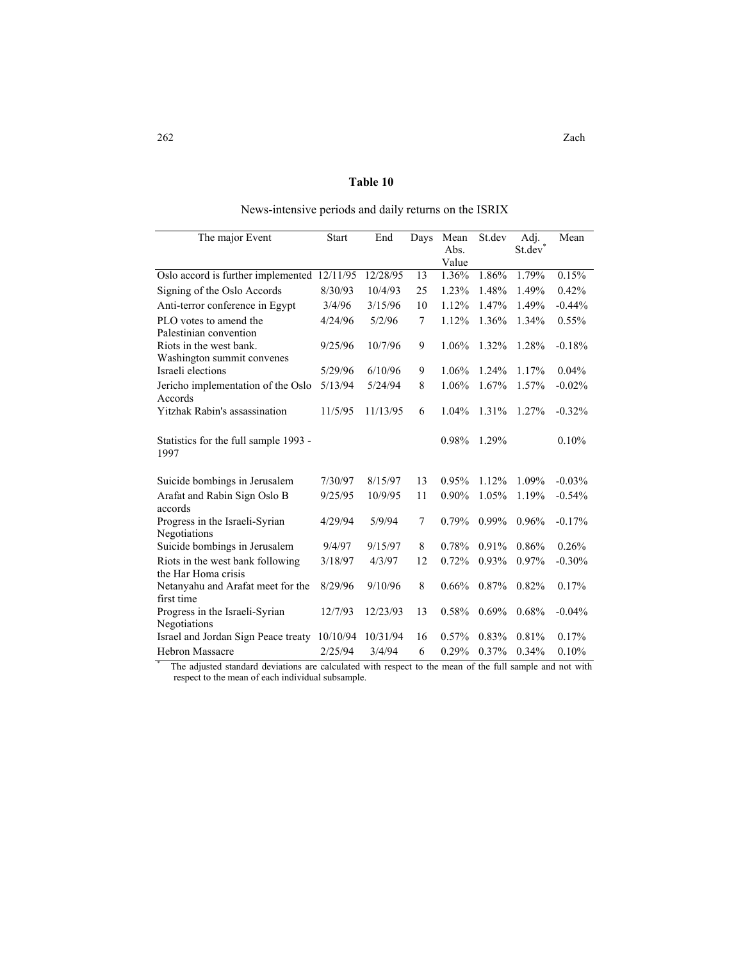## **Table 10**

| The major Event                                | Start    | End      | Days   | Mean     | St.dev | Adj.   | Mean      |
|------------------------------------------------|----------|----------|--------|----------|--------|--------|-----------|
|                                                |          |          |        | Abs.     |        | St.dev |           |
|                                                | 12/11/95 |          |        | Value    |        | 1.79%  | 0.15%     |
| Oslo accord is further implemented             |          | 12/28/95 | 13     | 1.36%    | 1.86%  |        |           |
| Signing of the Oslo Accords                    | 8/30/93  | 10/4/93  | 25     | 1.23%    | 1.48%  | 1.49%  | 0.42%     |
| Anti-terror conference in Egypt                | 3/4/96   | 3/15/96  | 10     | 1.12%    | 1.47%  | 1.49%  | $-0.44%$  |
| PLO votes to amend the                         | 4/24/96  | 5/2/96   | $\tau$ | 1.12%    | 1.36%  | 1.34%  | $0.55\%$  |
| Palestinian convention                         |          |          |        |          |        |        |           |
| Riots in the west bank.                        | 9/25/96  | 10/7/96  | 9      | 1.06%    | 1.32%  | 1.28%  | $-0.18%$  |
| Washington summit convenes                     |          |          |        |          |        |        |           |
| Israeli elections                              | 5/29/96  | 6/10/96  | 9      | 1.06%    | 1.24%  | 1.17%  | 0.04%     |
| Jericho implementation of the Oslo             | 5/13/94  | 5/24/94  | 8      | 1.06%    | 1.67%  | 1.57%  | $-0.02%$  |
| Accords                                        |          |          |        |          |        |        |           |
| Yitzhak Rabin's assassination                  | 11/5/95  | 11/13/95 | 6      | 1.04%    | 1.31%  | 1.27%  | $-0.32%$  |
|                                                |          |          |        |          |        |        |           |
| Statistics for the full sample 1993 -          |          |          |        | 0.98%    | 1.29%  |        | 0.10%     |
| 1997                                           |          |          |        |          |        |        |           |
|                                                |          |          |        |          |        |        |           |
| Suicide bombings in Jerusalem                  | 7/30/97  | 8/15/97  | 13     | 0.95%    | 1.12%  | 1.09%  | $-0.03\%$ |
| Arafat and Rabin Sign Oslo B                   | 9/25/95  | 10/9/95  | 11     | $0.90\%$ | 1.05%  | 1.19%  | $-0.54%$  |
| accords                                        |          |          |        |          |        |        |           |
| Progress in the Israeli-Syrian                 | 4/29/94  | 5/9/94   | 7      | 0.79%    | 0.99%  | 0.96%  | $-0.17%$  |
| Negotiations                                   |          |          |        |          |        |        |           |
| Suicide bombings in Jerusalem                  | 9/4/97   | 9/15/97  | 8      | 0.78%    | 0.91%  | 0.86%  | 0.26%     |
| Riots in the west bank following               | 3/18/97  | 4/3/97   | 12     | 0.72%    | 0.93%  | 0.97%  | $-0.30%$  |
| the Har Homa crisis                            |          |          |        |          |        |        |           |
| Netanyahu and Arafat meet for the              | 8/29/96  | 9/10/96  | 8      | 0.66%    | 0.87%  | 0.82%  | 0.17%     |
| first time                                     |          |          | 13     | 0.58%    |        | 0.68%  |           |
| Progress in the Israeli-Syrian<br>Negotiations | 12/7/93  | 12/23/93 |        |          | 0.69%  |        | $-0.04%$  |
| Israel and Jordan Sign Peace treaty            | 10/10/94 | 10/31/94 | 16     | 0.57%    | 0.83%  | 0.81%  | 0.17%     |
| <b>Hebron Massacre</b>                         | 2/25/94  | 3/4/94   | 6      | 0.29%    | 0.37%  | 0.34%  | 0.10%     |
|                                                |          |          |        |          |        |        |           |

## News-intensive periods and daily returns on the ISRIX

 The adjusted standard deviations are calculated with respect to the mean of the full sample and not with respect to the mean of each individual subsample.

\*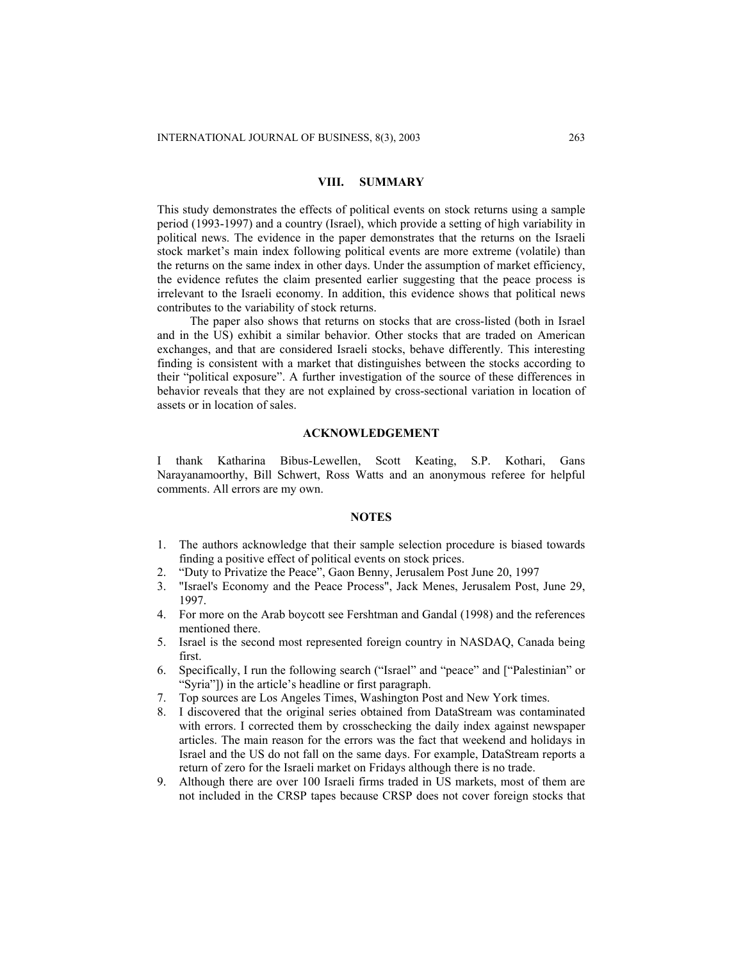## **VIII. SUMMARY**

This study demonstrates the effects of political events on stock returns using a sample period (1993-1997) and a country (Israel), which provide a setting of high variability in political news. The evidence in the paper demonstrates that the returns on the Israeli stock market's main index following political events are more extreme (volatile) than the returns on the same index in other days. Under the assumption of market efficiency, the evidence refutes the claim presented earlier suggesting that the peace process is irrelevant to the Israeli economy. In addition, this evidence shows that political news contributes to the variability of stock returns.

The paper also shows that returns on stocks that are cross-listed (both in Israel and in the US) exhibit a similar behavior. Other stocks that are traded on American exchanges, and that are considered Israeli stocks, behave differently. This interesting finding is consistent with a market that distinguishes between the stocks according to their "political exposure". A further investigation of the source of these differences in behavior reveals that they are not explained by cross-sectional variation in location of assets or in location of sales.

## **ACKNOWLEDGEMENT**

I thank Katharina Bibus-Lewellen, Scott Keating, S.P. Kothari, Gans Narayanamoorthy, Bill Schwert, Ross Watts and an anonymous referee for helpful comments. All errors are my own.

#### **NOTES**

- 1. The authors acknowledge that their sample selection procedure is biased towards finding a positive effect of political events on stock prices.
- 2. "Duty to Privatize the Peace", Gaon Benny, Jerusalem Post June 20, 1997
- 3. "Israel's Economy and the Peace Process", Jack Menes, Jerusalem Post, June 29, 1997.
- 4. For more on the Arab boycott see Fershtman and Gandal (1998) and the references mentioned there.
- 5. Israel is the second most represented foreign country in NASDAQ, Canada being first.
- 6. Specifically, I run the following search ("Israel" and "peace" and ["Palestinian" or "Syria"]) in the article's headline or first paragraph.
- 7. Top sources are Los Angeles Times, Washington Post and New York times.
- 8. I discovered that the original series obtained from DataStream was contaminated with errors. I corrected them by crosschecking the daily index against newspaper articles. The main reason for the errors was the fact that weekend and holidays in Israel and the US do not fall on the same days. For example, DataStream reports a return of zero for the Israeli market on Fridays although there is no trade.
- 9. Although there are over 100 Israeli firms traded in US markets, most of them are not included in the CRSP tapes because CRSP does not cover foreign stocks that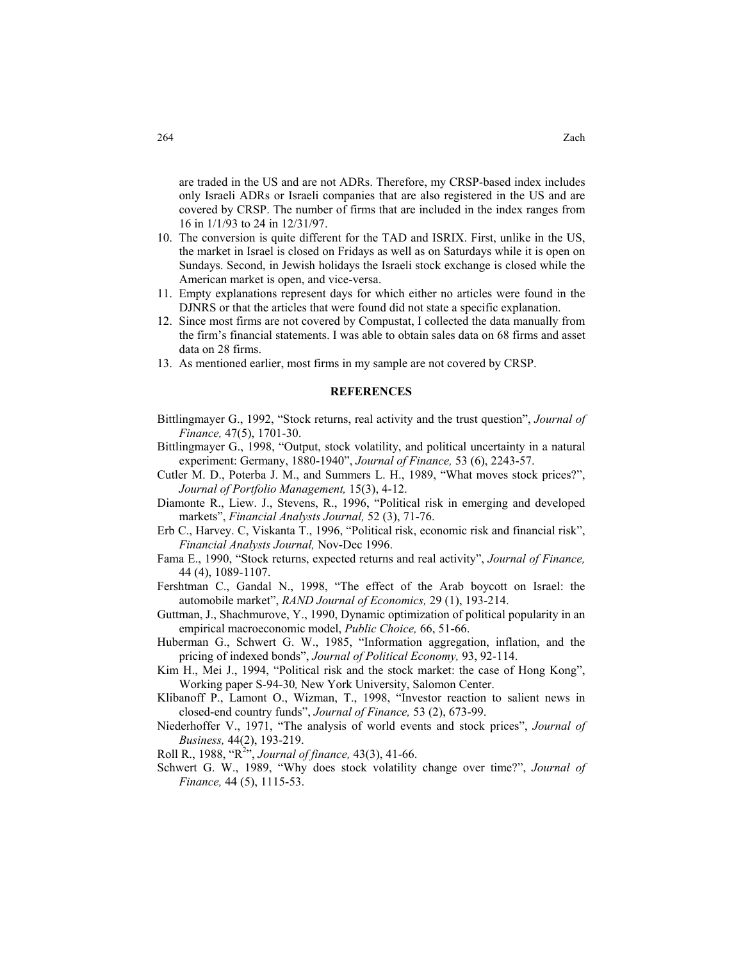are traded in the US and are not ADRs. Therefore, my CRSP-based index includes only Israeli ADRs or Israeli companies that are also registered in the US and are

16 in 1/1/93 to 24 in 12/31/97. 10. The conversion is quite different for the TAD and ISRIX. First, unlike in the US, the market in Israel is closed on Fridays as well as on Saturdays while it is open on Sundays. Second, in Jewish holidays the Israeli stock exchange is closed while the

covered by CRSP. The number of firms that are included in the index ranges from

- American market is open, and vice-versa. 11. Empty explanations represent days for which either no articles were found in the DJNRS or that the articles that were found did not state a specific explanation.
- 12. Since most firms are not covered by Compustat, I collected the data manually from the firm's financial statements. I was able to obtain sales data on 68 firms and asset data on 28 firms.
- 13. As mentioned earlier, most firms in my sample are not covered by CRSP.

#### **REFERENCES**

- Bittlingmayer G., 1992, "Stock returns, real activity and the trust question", *Journal of Finance,* 47(5), 1701-30.
- Bittlingmayer G., 1998, "Output, stock volatility, and political uncertainty in a natural experiment: Germany, 1880-1940", *Journal of Finance,* 53 (6), 2243-57.
- Cutler M. D., Poterba J. M., and Summers L. H., 1989, "What moves stock prices?", *Journal of Portfolio Management,* 15(3), 4-12.
- Diamonte R., Liew. J., Stevens, R., 1996, "Political risk in emerging and developed markets", *Financial Analysts Journal,* 52 (3), 71-76.
- Erb C., Harvey. C, Viskanta T., 1996, "Political risk, economic risk and financial risk", *Financial Analysts Journal,* Nov-Dec 1996.
- Fama E., 1990, "Stock returns, expected returns and real activity", *Journal of Finance,*  44 (4), 1089-1107.
- Fershtman C., Gandal N., 1998, "The effect of the Arab boycott on Israel: the automobile market", *RAND Journal of Economics,* 29 (1), 193-214.
- Guttman, J., Shachmurove, Y., 1990, Dynamic optimization of political popularity in an empirical macroeconomic model, *Public Choice,* 66, 51-66.
- Huberman G., Schwert G. W., 1985, "Information aggregation, inflation, and the pricing of indexed bonds", *Journal of Political Economy,* 93, 92-114.
- Kim H., Mei J., 1994, "Political risk and the stock market: the case of Hong Kong", Working paper S-94-30*,* New York University, Salomon Center.
- Klibanoff P., Lamont O., Wizman, T., 1998, "Investor reaction to salient news in closed-end country funds", *Journal of Finance,* 53 (2), 673-99.
- Niederhoffer V., 1971, "The analysis of world events and stock prices", *Journal of Business,* 44(2), 193-219.

Roll R., 1988, "R<sup>2</sup> ", *Journal of finance,* 43(3), 41-66.

Schwert G. W., 1989, "Why does stock volatility change over time?", *Journal of Finance,* 44 (5), 1115-53.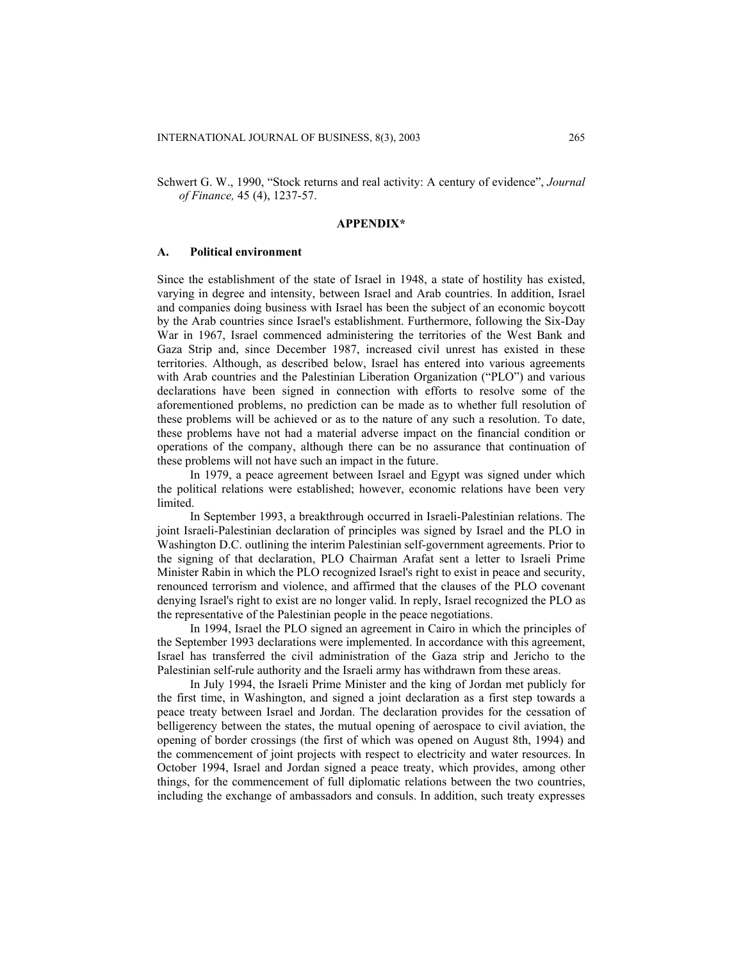Schwert G. W., 1990, "Stock returns and real activity: A century of evidence", *Journal of Finance,* 45 (4), 1237-57.

#### **APPENDIX\***

#### **A. Political environment**

Since the establishment of the state of Israel in 1948, a state of hostility has existed, varying in degree and intensity, between Israel and Arab countries. In addition, Israel and companies doing business with Israel has been the subject of an economic boycott by the Arab countries since Israel's establishment. Furthermore, following the Six-Day War in 1967, Israel commenced administering the territories of the West Bank and Gaza Strip and, since December 1987, increased civil unrest has existed in these territories. Although, as described below, Israel has entered into various agreements with Arab countries and the Palestinian Liberation Organization ("PLO") and various declarations have been signed in connection with efforts to resolve some of the aforementioned problems, no prediction can be made as to whether full resolution of these problems will be achieved or as to the nature of any such a resolution. To date, these problems have not had a material adverse impact on the financial condition or operations of the company, although there can be no assurance that continuation of these problems will not have such an impact in the future.

In 1979, a peace agreement between Israel and Egypt was signed under which the political relations were established; however, economic relations have been very limited.

In September 1993, a breakthrough occurred in Israeli-Palestinian relations. The joint Israeli-Palestinian declaration of principles was signed by Israel and the PLO in Washington D.C. outlining the interim Palestinian self-government agreements. Prior to the signing of that declaration, PLO Chairman Arafat sent a letter to Israeli Prime Minister Rabin in which the PLO recognized Israel's right to exist in peace and security, renounced terrorism and violence, and affirmed that the clauses of the PLO covenant denying Israel's right to exist are no longer valid. In reply, Israel recognized the PLO as the representative of the Palestinian people in the peace negotiations.

In 1994, Israel the PLO signed an agreement in Cairo in which the principles of the September 1993 declarations were implemented. In accordance with this agreement, Israel has transferred the civil administration of the Gaza strip and Jericho to the Palestinian self-rule authority and the Israeli army has withdrawn from these areas.

In July 1994, the Israeli Prime Minister and the king of Jordan met publicly for the first time, in Washington, and signed a joint declaration as a first step towards a peace treaty between Israel and Jordan. The declaration provides for the cessation of belligerency between the states, the mutual opening of aerospace to civil aviation, the opening of border crossings (the first of which was opened on August 8th, 1994) and the commencement of joint projects with respect to electricity and water resources. In October 1994, Israel and Jordan signed a peace treaty, which provides, among other things, for the commencement of full diplomatic relations between the two countries, including the exchange of ambassadors and consuls. In addition, such treaty expresses